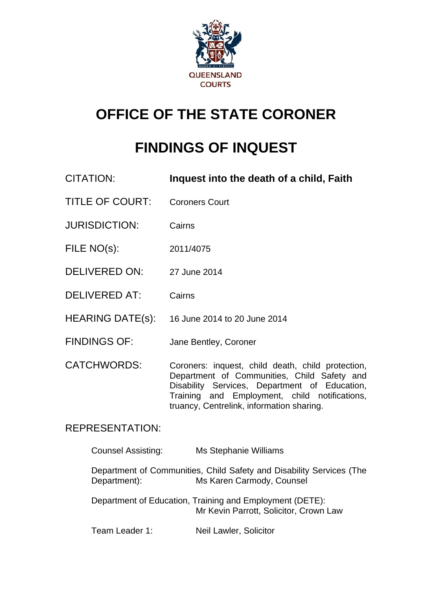

# **OFFICE OF THE STATE CORONER**

# **FINDINGS OF INQUEST**

- CITATION: **Inquest into the death of a child, Faith**
- TITLE OF COURT: Coroners Court
- JURISDICTION: Cairns
- FILE NO(s): 2011/4075
- DELIVERED ON: 27 June 2014
- DELIVERED AT: Cairns
- HEARING DATE(s): 16 June 2014 to 20 June 2014
- FINDINGS OF: Jane Bentley, Coroner
- CATCHWORDS: Coroners: inquest, child death, child protection, Department of Communities, Child Safety and Disability Services, Department of Education, Training and Employment, child notifications, truancy, Centrelink, information sharing.

# REPRESENTATION:

| <b>Counsel Assisting:</b> | Ms Stephanie Williams |
|---------------------------|-----------------------|
|                           |                       |

Department of Communities, Child Safety and Disability Services (The Department): Ms Karen Carmody, Counsel

 Department of Education, Training and Employment (DETE): Mr Kevin Parrott, Solicitor, Crown Law

Team Leader 1: Neil Lawler, Solicitor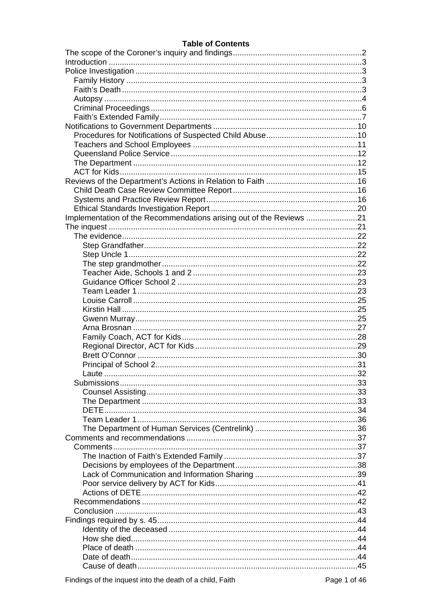#### **Table of Contents**

| Implementation of the Recommendations arising out of the Reviews 21 |  |
|---------------------------------------------------------------------|--|
|                                                                     |  |
|                                                                     |  |
|                                                                     |  |
|                                                                     |  |
|                                                                     |  |
|                                                                     |  |
|                                                                     |  |
|                                                                     |  |
|                                                                     |  |
|                                                                     |  |
|                                                                     |  |
|                                                                     |  |
|                                                                     |  |
|                                                                     |  |
|                                                                     |  |
|                                                                     |  |
|                                                                     |  |
|                                                                     |  |
|                                                                     |  |
|                                                                     |  |
|                                                                     |  |
|                                                                     |  |
|                                                                     |  |
|                                                                     |  |
|                                                                     |  |
|                                                                     |  |
|                                                                     |  |
|                                                                     |  |
|                                                                     |  |
|                                                                     |  |
|                                                                     |  |
|                                                                     |  |
|                                                                     |  |
|                                                                     |  |
|                                                                     |  |
|                                                                     |  |
|                                                                     |  |
|                                                                     |  |
|                                                                     |  |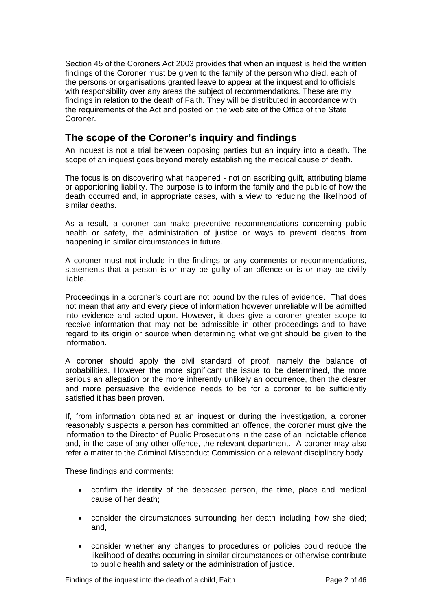Section 45 of the Coroners Act 2003 provides that when an inquest is held the written findings of the Coroner must be given to the family of the person who died, each of the persons or organisations granted leave to appear at the inquest and to officials with responsibility over any areas the subject of recommendations. These are my findings in relation to the death of Faith. They will be distributed in accordance with the requirements of the Act and posted on the web site of the Office of the State Coroner.

# <span id="page-2-0"></span>**The scope of the Coroner's inquiry and findings**

An inquest is not a trial between opposing parties but an inquiry into a death. The scope of an inquest goes beyond merely establishing the medical cause of death.

The focus is on discovering what happened - not on ascribing guilt, attributing blame or apportioning liability. The purpose is to inform the family and the public of how the death occurred and, in appropriate cases, with a view to reducing the likelihood of similar deaths.

As a result, a coroner can make preventive recommendations concerning public health or safety, the administration of justice or ways to prevent deaths from happening in similar circumstances in future.

A coroner must not include in the findings or any comments or recommendations, statements that a person is or may be guilty of an offence or is or may be civilly liable.

Proceedings in a coroner's court are not bound by the rules of evidence. That does not mean that any and every piece of information however unreliable will be admitted into evidence and acted upon. However, it does give a coroner greater scope to receive information that may not be admissible in other proceedings and to have regard to its origin or source when determining what weight should be given to the information.

A coroner should apply the civil standard of proof, namely the balance of probabilities. However the more significant the issue to be determined, the more serious an allegation or the more inherently unlikely an occurrence, then the clearer and more persuasive the evidence needs to be for a coroner to be sufficiently satisfied it has been proven.

If, from information obtained at an inquest or during the investigation, a coroner reasonably suspects a person has committed an offence, the coroner must give the information to the Director of Public Prosecutions in the case of an indictable offence and, in the case of any other offence, the relevant department. A coroner may also refer a matter to the Criminal Misconduct Commission or a relevant disciplinary body.

These findings and comments:

- confirm the identity of the deceased person, the time, place and medical cause of her death;
- consider the circumstances surrounding her death including how she died; and,
- consider whether any changes to procedures or policies could reduce the likelihood of deaths occurring in similar circumstances or otherwise contribute to public health and safety or the administration of justice.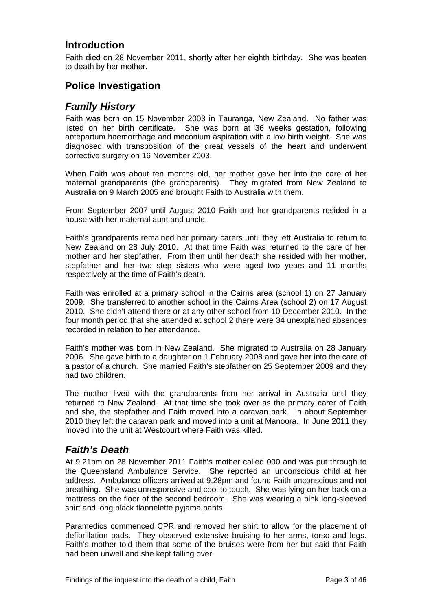# <span id="page-3-0"></span>**Introduction**

Faith died on 28 November 2011, shortly after her eighth birthday. She was beaten to death by her mother.

# <span id="page-3-1"></span>**Police Investigation**

# <span id="page-3-2"></span>*Family History*

Faith was born on 15 November 2003 in Tauranga, New Zealand. No father was listed on her birth certificate. She was born at 36 weeks gestation, following antepartum haemorrhage and meconium aspiration with a low birth weight. She was diagnosed with transposition of the great vessels of the heart and underwent corrective surgery on 16 November 2003.

When Faith was about ten months old, her mother gave her into the care of her maternal grandparents (the grandparents). They migrated from New Zealand to Australia on 9 March 2005 and brought Faith to Australia with them.

From September 2007 until August 2010 Faith and her grandparents resided in a house with her maternal aunt and uncle.

Faith's grandparents remained her primary carers until they left Australia to return to New Zealand on 28 July 2010. At that time Faith was returned to the care of her mother and her stepfather. From then until her death she resided with her mother, stepfather and her two step sisters who were aged two years and 11 months respectively at the time of Faith's death.

Faith was enrolled at a primary school in the Cairns area (school 1) on 27 January 2009. She transferred to another school in the Cairns Area (school 2) on 17 August 2010. She didn't attend there or at any other school from 10 December 2010. In the four month period that she attended at school 2 there were 34 unexplained absences recorded in relation to her attendance.

Faith's mother was born in New Zealand. She migrated to Australia on 28 January 2006. She gave birth to a daughter on 1 February 2008 and gave her into the care of a pastor of a church. She married Faith's stepfather on 25 September 2009 and they had two children.

The mother lived with the grandparents from her arrival in Australia until they returned to New Zealand. At that time she took over as the primary carer of Faith and she, the stepfather and Faith moved into a caravan park. In about September 2010 they left the caravan park and moved into a unit at Manoora. In June 2011 they moved into the unit at Westcourt where Faith was killed.

# <span id="page-3-3"></span>*Faith's Death*

At 9.21pm on 28 November 2011 Faith's mother called 000 and was put through to the Queensland Ambulance Service. She reported an unconscious child at her address. Ambulance officers arrived at 9.28pm and found Faith unconscious and not breathing. She was unresponsive and cool to touch. She was lying on her back on a mattress on the floor of the second bedroom. She was wearing a pink long-sleeved shirt and long black flannelette pyjama pants.

Paramedics commenced CPR and removed her shirt to allow for the placement of defibrillation pads. They observed extensive bruising to her arms, torso and legs. Faith's mother told them that some of the bruises were from her but said that Faith had been unwell and she kept falling over.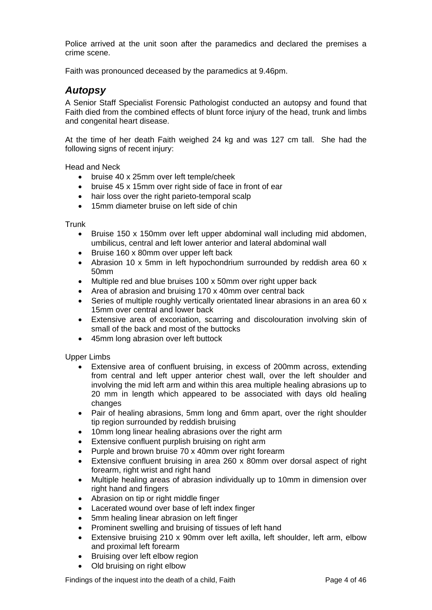Police arrived at the unit soon after the paramedics and declared the premises a crime scene.

Faith was pronounced deceased by the paramedics at 9.46pm.

## <span id="page-4-0"></span>*Autopsy*

A Senior Staff Specialist Forensic Pathologist conducted an autopsy and found that Faith died from the combined effects of blunt force injury of the head, trunk and limbs and congenital heart disease.

At the time of her death Faith weighed 24 kg and was 127 cm tall. She had the following signs of recent injury:

Head and Neck

- bruise 40 x 25mm over left temple/cheek
- bruise 45 x 15mm over right side of face in front of ear
- hair loss over the right parieto-temporal scalp
- 15mm diameter bruise on left side of chin

**Trunk** 

- Bruise 150 x 150mm over left upper abdominal wall including mid abdomen, umbilicus, central and left lower anterior and lateral abdominal wall
- Bruise 160 x 80mm over upper left back
- Abrasion 10 x 5mm in left hypochondrium surrounded by reddish area 60 x 50mm
- Multiple red and blue bruises 100 x 50mm over right upper back
- Area of abrasion and bruising 170 x 40mm over central back
- Series of multiple roughly vertically orientated linear abrasions in an area 60 x 15mm over central and lower back
- Extensive area of excoriation, scarring and discolouration involving skin of small of the back and most of the buttocks
- 45mm long abrasion over left buttock

Upper Limbs

- Extensive area of confluent bruising, in excess of 200mm across, extending from central and left upper anterior chest wall, over the left shoulder and involving the mid left arm and within this area multiple healing abrasions up to 20 mm in length which appeared to be associated with days old healing changes
- Pair of healing abrasions, 5mm long and 6mm apart, over the right shoulder tip region surrounded by reddish bruising
- 10mm long linear healing abrasions over the right arm
- Extensive confluent purplish bruising on right arm
- Purple and brown bruise 70 x 40mm over right forearm
- Extensive confluent bruising in area 260 x 80mm over dorsal aspect of right forearm, right wrist and right hand
- Multiple healing areas of abrasion individually up to 10mm in dimension over right hand and fingers
- Abrasion on tip or right middle finger
- Lacerated wound over base of left index finger
- 5mm healing linear abrasion on left finger
- Prominent swelling and bruising of tissues of left hand
- Extensive bruising 210 x 90mm over left axilla, left shoulder, left arm, elbow and proximal left forearm
- Bruising over left elbow region
- Old bruising on right elbow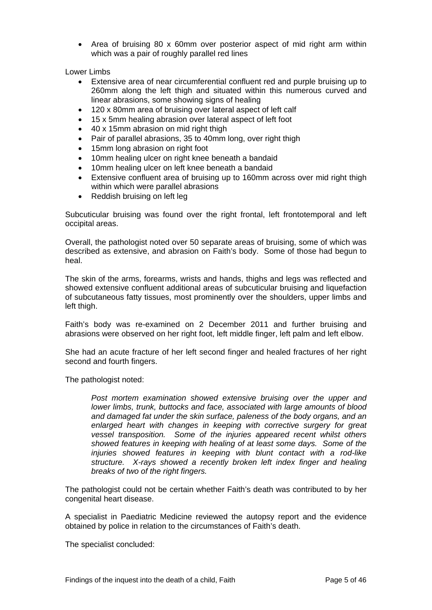Area of bruising 80 x 60mm over posterior aspect of mid right arm within which was a pair of roughly parallel red lines

Lower Limbs

- Extensive area of near circumferential confluent red and purple bruising up to 260mm along the left thigh and situated within this numerous curved and linear abrasions, some showing signs of healing
- 120 x 80mm area of bruising over lateral aspect of left calf
- 15 x 5mm healing abrasion over lateral aspect of left foot
- 40 x 15mm abrasion on mid right thigh
- Pair of parallel abrasions, 35 to 40mm long, over right thigh
- 15mm long abrasion on right foot
- 10mm healing ulcer on right knee beneath a bandaid
- 10mm healing ulcer on left knee beneath a bandaid
- Extensive confluent area of bruising up to 160mm across over mid right thigh within which were parallel abrasions
- Reddish bruising on left leg

Subcuticular bruising was found over the right frontal, left frontotemporal and left occipital areas.

Overall, the pathologist noted over 50 separate areas of bruising, some of which was described as extensive, and abrasion on Faith's body. Some of those had begun to heal.

The skin of the arms, forearms, wrists and hands, thighs and legs was reflected and showed extensive confluent additional areas of subcuticular bruising and liquefaction of subcutaneous fatty tissues, most prominently over the shoulders, upper limbs and left thigh.

Faith's body was re-examined on 2 December 2011 and further bruising and abrasions were observed on her right foot, left middle finger, left palm and left elbow.

She had an acute fracture of her left second finger and healed fractures of her right second and fourth fingers.

The pathologist noted:

*Post mortem examination showed extensive bruising over the upper and lower limbs, trunk, buttocks and face, associated with large amounts of blood and damaged fat under the skin surface, paleness of the body organs, and an enlarged heart with changes in keeping with corrective surgery for great vessel transposition. Some of the injuries appeared recent whilst others showed features in keeping with healing of at least some days. Some of the injuries showed features in keeping with blunt contact with a rod-like structure. X-rays showed a recently broken left index finger and healing breaks of two of the right fingers.* 

The pathologist could not be certain whether Faith's death was contributed to by her congenital heart disease.

A specialist in Paediatric Medicine reviewed the autopsy report and the evidence obtained by police in relation to the circumstances of Faith's death.

The specialist concluded: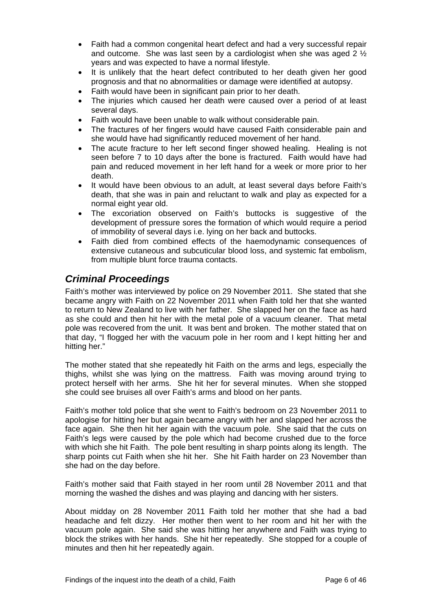- Faith had a common congenital heart defect and had a very successful repair and outcome. She was last seen by a cardiologist when she was aged 2  $\frac{1}{2}$ years and was expected to have a normal lifestyle.
- It is unlikely that the heart defect contributed to her death given her good prognosis and that no abnormalities or damage were identified at autopsy.
- Faith would have been in significant pain prior to her death.
- The injuries which caused her death were caused over a period of at least several days.
- Faith would have been unable to walk without considerable pain.
- The fractures of her fingers would have caused Faith considerable pain and she would have had significantly reduced movement of her hand.
- The acute fracture to her left second finger showed healing. Healing is not seen before 7 to 10 days after the bone is fractured. Faith would have had pain and reduced movement in her left hand for a week or more prior to her death.
- It would have been obvious to an adult, at least several days before Faith's death, that she was in pain and reluctant to walk and play as expected for a normal eight year old.
- The excoriation observed on Faith's buttocks is suggestive of the development of pressure sores the formation of which would require a period of immobility of several days i.e. lying on her back and buttocks.
- Faith died from combined effects of the haemodynamic consequences of extensive cutaneous and subcuticular blood loss, and systemic fat embolism, from multiple blunt force trauma contacts.

# <span id="page-6-0"></span>*Criminal Proceedings*

Faith's mother was interviewed by police on 29 November 2011. She stated that she became angry with Faith on 22 November 2011 when Faith told her that she wanted to return to New Zealand to live with her father. She slapped her on the face as hard as she could and then hit her with the metal pole of a vacuum cleaner. That metal pole was recovered from the unit. It was bent and broken. The mother stated that on that day, "I flogged her with the vacuum pole in her room and I kept hitting her and hitting her."

The mother stated that she repeatedly hit Faith on the arms and legs, especially the thighs, whilst she was lying on the mattress. Faith was moving around trying to protect herself with her arms. She hit her for several minutes. When she stopped she could see bruises all over Faith's arms and blood on her pants.

Faith's mother told police that she went to Faith's bedroom on 23 November 2011 to apologise for hitting her but again became angry with her and slapped her across the face again. She then hit her again with the vacuum pole. She said that the cuts on Faith's legs were caused by the pole which had become crushed due to the force with which she hit Faith. The pole bent resulting in sharp points along its length. The sharp points cut Faith when she hit her. She hit Faith harder on 23 November than she had on the day before.

Faith's mother said that Faith stayed in her room until 28 November 2011 and that morning the washed the dishes and was playing and dancing with her sisters.

About midday on 28 November 2011 Faith told her mother that she had a bad headache and felt dizzy. Her mother then went to her room and hit her with the vacuum pole again. She said she was hitting her anywhere and Faith was trying to block the strikes with her hands. She hit her repeatedly. She stopped for a couple of minutes and then hit her repeatedly again.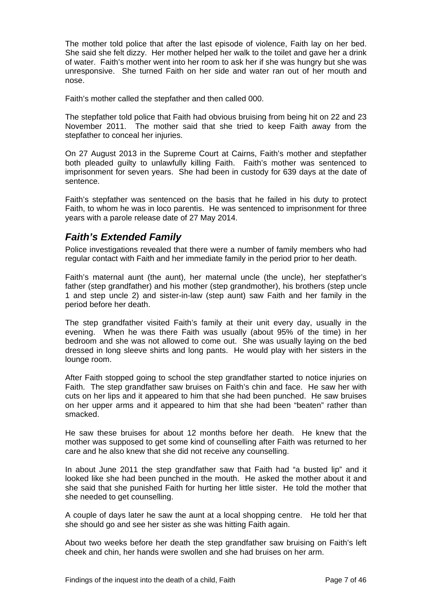The mother told police that after the last episode of violence, Faith lay on her bed. She said she felt dizzy. Her mother helped her walk to the toilet and gave her a drink of water. Faith's mother went into her room to ask her if she was hungry but she was unresponsive. She turned Faith on her side and water ran out of her mouth and nose.

Faith's mother called the stepfather and then called 000.

The stepfather told police that Faith had obvious bruising from being hit on 22 and 23 November 2011. The mother said that she tried to keep Faith away from the stepfather to conceal her injuries.

On 27 August 2013 in the Supreme Court at Cairns, Faith's mother and stepfather both pleaded guilty to unlawfully killing Faith. Faith's mother was sentenced to imprisonment for seven years. She had been in custody for 639 days at the date of sentence.

Faith's stepfather was sentenced on the basis that he failed in his duty to protect Faith, to whom he was in loco parentis. He was sentenced to imprisonment for three years with a parole release date of 27 May 2014.

# <span id="page-7-0"></span>*Faith's Extended Family*

Police investigations revealed that there were a number of family members who had regular contact with Faith and her immediate family in the period prior to her death.

Faith's maternal aunt (the aunt), her maternal uncle (the uncle), her stepfather's father (step grandfather) and his mother (step grandmother), his brothers (step uncle 1 and step uncle 2) and sister-in-law (step aunt) saw Faith and her family in the period before her death.

The step grandfather visited Faith's family at their unit every day, usually in the evening. When he was there Faith was usually (about 95% of the time) in her bedroom and she was not allowed to come out. She was usually laying on the bed dressed in long sleeve shirts and long pants. He would play with her sisters in the lounge room.

After Faith stopped going to school the step grandfather started to notice injuries on Faith. The step grandfather saw bruises on Faith's chin and face. He saw her with cuts on her lips and it appeared to him that she had been punched. He saw bruises on her upper arms and it appeared to him that she had been "beaten" rather than smacked.

He saw these bruises for about 12 months before her death. He knew that the mother was supposed to get some kind of counselling after Faith was returned to her care and he also knew that she did not receive any counselling.

In about June 2011 the step grandfather saw that Faith had "a busted lip" and it looked like she had been punched in the mouth. He asked the mother about it and she said that she punished Faith for hurting her little sister. He told the mother that she needed to get counselling.

A couple of days later he saw the aunt at a local shopping centre. He told her that she should go and see her sister as she was hitting Faith again.

About two weeks before her death the step grandfather saw bruising on Faith's left cheek and chin, her hands were swollen and she had bruises on her arm.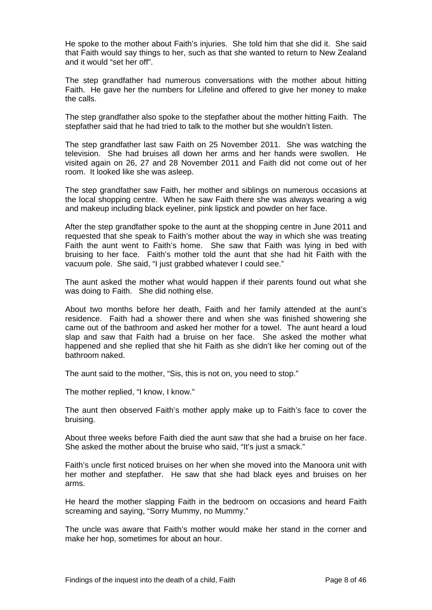He spoke to the mother about Faith's injuries. She told him that she did it. She said that Faith would say things to her, such as that she wanted to return to New Zealand and it would "set her off".

The step grandfather had numerous conversations with the mother about hitting Faith. He gave her the numbers for Lifeline and offered to give her money to make the calls.

The step grandfather also spoke to the stepfather about the mother hitting Faith. The stepfather said that he had tried to talk to the mother but she wouldn't listen.

The step grandfather last saw Faith on 25 November 2011. She was watching the television. She had bruises all down her arms and her hands were swollen. He visited again on 26, 27 and 28 November 2011 and Faith did not come out of her room. It looked like she was asleep.

The step grandfather saw Faith, her mother and siblings on numerous occasions at the local shopping centre. When he saw Faith there she was always wearing a wig and makeup including black eyeliner, pink lipstick and powder on her face.

After the step grandfather spoke to the aunt at the shopping centre in June 2011 and requested that she speak to Faith's mother about the way in which she was treating Faith the aunt went to Faith's home. She saw that Faith was lying in bed with bruising to her face. Faith's mother told the aunt that she had hit Faith with the vacuum pole. She said, "I just grabbed whatever I could see."

The aunt asked the mother what would happen if their parents found out what she was doing to Faith. She did nothing else.

About two months before her death, Faith and her family attended at the aunt's residence. Faith had a shower there and when she was finished showering she came out of the bathroom and asked her mother for a towel. The aunt heard a loud slap and saw that Faith had a bruise on her face. She asked the mother what happened and she replied that she hit Faith as she didn't like her coming out of the bathroom naked.

The aunt said to the mother, "Sis, this is not on, you need to stop."

The mother replied, "I know, I know."

The aunt then observed Faith's mother apply make up to Faith's face to cover the bruising.

About three weeks before Faith died the aunt saw that she had a bruise on her face. She asked the mother about the bruise who said, "It's just a smack."

Faith's uncle first noticed bruises on her when she moved into the Manoora unit with her mother and stepfather. He saw that she had black eyes and bruises on her arms.

He heard the mother slapping Faith in the bedroom on occasions and heard Faith screaming and saying, "Sorry Mummy, no Mummy."

The uncle was aware that Faith's mother would make her stand in the corner and make her hop, sometimes for about an hour.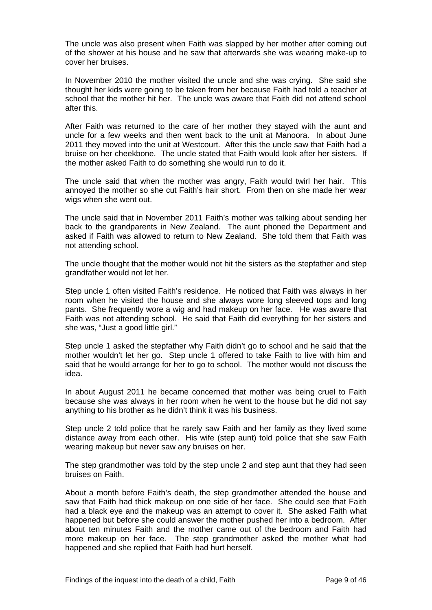The uncle was also present when Faith was slapped by her mother after coming out of the shower at his house and he saw that afterwards she was wearing make-up to cover her bruises.

In November 2010 the mother visited the uncle and she was crying. She said she thought her kids were going to be taken from her because Faith had told a teacher at school that the mother hit her. The uncle was aware that Faith did not attend school after this.

After Faith was returned to the care of her mother they stayed with the aunt and uncle for a few weeks and then went back to the unit at Manoora. In about June 2011 they moved into the unit at Westcourt. After this the uncle saw that Faith had a bruise on her cheekbone. The uncle stated that Faith would look after her sisters. If the mother asked Faith to do something she would run to do it.

The uncle said that when the mother was angry, Faith would twirl her hair. This annoyed the mother so she cut Faith's hair short. From then on she made her wear wigs when she went out.

The uncle said that in November 2011 Faith's mother was talking about sending her back to the grandparents in New Zealand. The aunt phoned the Department and asked if Faith was allowed to return to New Zealand. She told them that Faith was not attending school.

The uncle thought that the mother would not hit the sisters as the stepfather and step grandfather would not let her.

Step uncle 1 often visited Faith's residence. He noticed that Faith was always in her room when he visited the house and she always wore long sleeved tops and long pants. She frequently wore a wig and had makeup on her face. He was aware that Faith was not attending school. He said that Faith did everything for her sisters and she was, "Just a good little girl."

Step uncle 1 asked the stepfather why Faith didn't go to school and he said that the mother wouldn't let her go. Step uncle 1 offered to take Faith to live with him and said that he would arrange for her to go to school. The mother would not discuss the idea.

In about August 2011 he became concerned that mother was being cruel to Faith because she was always in her room when he went to the house but he did not say anything to his brother as he didn't think it was his business.

Step uncle 2 told police that he rarely saw Faith and her family as they lived some distance away from each other. His wife (step aunt) told police that she saw Faith wearing makeup but never saw any bruises on her.

The step grandmother was told by the step uncle 2 and step aunt that they had seen bruises on Faith.

About a month before Faith's death, the step grandmother attended the house and saw that Faith had thick makeup on one side of her face. She could see that Faith had a black eye and the makeup was an attempt to cover it. She asked Faith what happened but before she could answer the mother pushed her into a bedroom. After about ten minutes Faith and the mother came out of the bedroom and Faith had more makeup on her face. The step grandmother asked the mother what had happened and she replied that Faith had hurt herself.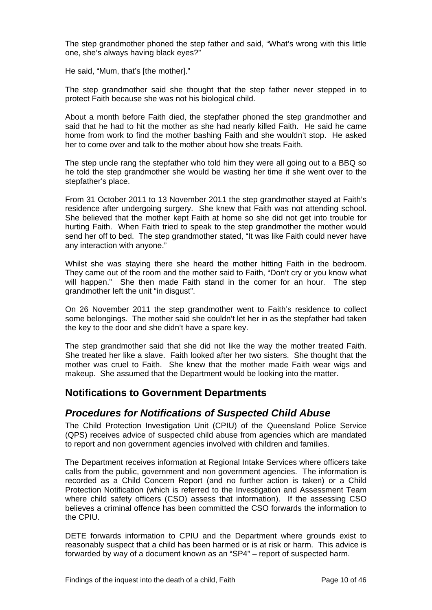The step grandmother phoned the step father and said, "What's wrong with this little one, she's always having black eyes?"

He said, "Mum, that's [the mother]."

The step grandmother said she thought that the step father never stepped in to protect Faith because she was not his biological child.

About a month before Faith died, the stepfather phoned the step grandmother and said that he had to hit the mother as she had nearly killed Faith. He said he came home from work to find the mother bashing Faith and she wouldn't stop. He asked her to come over and talk to the mother about how she treats Faith.

The step uncle rang the stepfather who told him they were all going out to a BBQ so he told the step grandmother she would be wasting her time if she went over to the stepfather's place.

From 31 October 2011 to 13 November 2011 the step grandmother stayed at Faith's residence after undergoing surgery. She knew that Faith was not attending school. She believed that the mother kept Faith at home so she did not get into trouble for hurting Faith. When Faith tried to speak to the step grandmother the mother would send her off to bed. The step grandmother stated, "It was like Faith could never have any interaction with anyone."

Whilst she was staying there she heard the mother hitting Faith in the bedroom. They came out of the room and the mother said to Faith, "Don't cry or you know what will happen." She then made Faith stand in the corner for an hour. The step grandmother left the unit "in disgust".

On 26 November 2011 the step grandmother went to Faith's residence to collect some belongings. The mother said she couldn't let her in as the stepfather had taken the key to the door and she didn't have a spare key.

The step grandmother said that she did not like the way the mother treated Faith. She treated her like a slave. Faith looked after her two sisters. She thought that the mother was cruel to Faith. She knew that the mother made Faith wear wigs and makeup. She assumed that the Department would be looking into the matter.

### <span id="page-10-0"></span>**Notifications to Government Departments**

### <span id="page-10-1"></span>*Procedures for Notifications of Suspected Child Abuse*

The Child Protection Investigation Unit (CPIU) of the Queensland Police Service (QPS) receives advice of suspected child abuse from agencies which are mandated to report and non government agencies involved with children and families.

The Department receives information at Regional Intake Services where officers take calls from the public, government and non government agencies. The information is recorded as a Child Concern Report (and no further action is taken) or a Child Protection Notification (which is referred to the Investigation and Assessment Team where child safety officers (CSO) assess that information). If the assessing CSO believes a criminal offence has been committed the CSO forwards the information to the CPIU.

DETE forwards information to CPIU and the Department where grounds exist to reasonably suspect that a child has been harmed or is at risk or harm. This advice is forwarded by way of a document known as an "SP4" – report of suspected harm.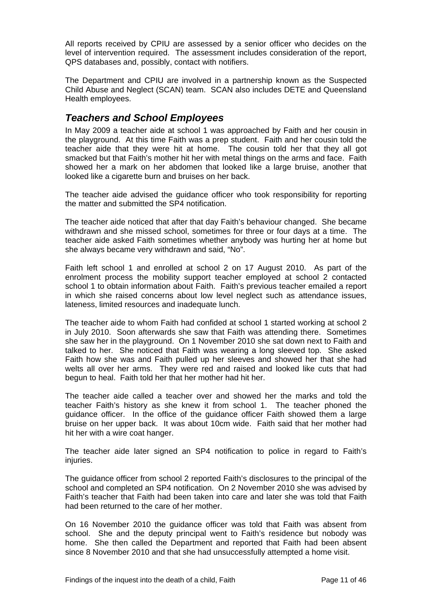All reports received by CPIU are assessed by a senior officer who decides on the level of intervention required. The assessment includes consideration of the report, QPS databases and, possibly, contact with notifiers.

The Department and CPIU are involved in a partnership known as the Suspected Child Abuse and Neglect (SCAN) team. SCAN also includes DETE and Queensland Health employees.

# <span id="page-11-0"></span>*Teachers and School Employees*

In May 2009 a teacher aide at school 1 was approached by Faith and her cousin in the playground. At this time Faith was a prep student. Faith and her cousin told the teacher aide that they were hit at home. The cousin told her that they all got smacked but that Faith's mother hit her with metal things on the arms and face. Faith showed her a mark on her abdomen that looked like a large bruise, another that looked like a cigarette burn and bruises on her back.

The teacher aide advised the guidance officer who took responsibility for reporting the matter and submitted the SP4 notification.

The teacher aide noticed that after that day Faith's behaviour changed. She became withdrawn and she missed school, sometimes for three or four days at a time. The teacher aide asked Faith sometimes whether anybody was hurting her at home but she always became very withdrawn and said, "No".

Faith left school 1 and enrolled at school 2 on 17 August 2010. As part of the enrolment process the mobility support teacher employed at school 2 contacted school 1 to obtain information about Faith. Faith's previous teacher emailed a report in which she raised concerns about low level neglect such as attendance issues, lateness, limited resources and inadequate lunch.

The teacher aide to whom Faith had confided at school 1 started working at school 2 in July 2010. Soon afterwards she saw that Faith was attending there. Sometimes she saw her in the playground. On 1 November 2010 she sat down next to Faith and talked to her. She noticed that Faith was wearing a long sleeved top. She asked Faith how she was and Faith pulled up her sleeves and showed her that she had welts all over her arms. They were red and raised and looked like cuts that had begun to heal. Faith told her that her mother had hit her.

The teacher aide called a teacher over and showed her the marks and told the teacher Faith's history as she knew it from school 1. The teacher phoned the guidance officer. In the office of the guidance officer Faith showed them a large bruise on her upper back. It was about 10cm wide. Faith said that her mother had hit her with a wire coat hanger.

The teacher aide later signed an SP4 notification to police in regard to Faith's iniuries.

The guidance officer from school 2 reported Faith's disclosures to the principal of the school and completed an SP4 notification. On 2 November 2010 she was advised by Faith's teacher that Faith had been taken into care and later she was told that Faith had been returned to the care of her mother.

On 16 November 2010 the guidance officer was told that Faith was absent from school. She and the deputy principal went to Faith's residence but nobody was home. She then called the Department and reported that Faith had been absent since 8 November 2010 and that she had unsuccessfully attempted a home visit.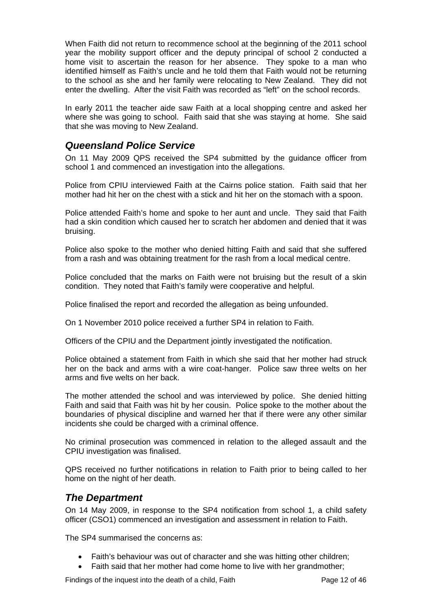When Faith did not return to recommence school at the beginning of the 2011 school year the mobility support officer and the deputy principal of school 2 conducted a home visit to ascertain the reason for her absence. They spoke to a man who identified himself as Faith's uncle and he told them that Faith would not be returning to the school as she and her family were relocating to New Zealand. They did not enter the dwelling. After the visit Faith was recorded as "left" on the school records.

In early 2011 the teacher aide saw Faith at a local shopping centre and asked her where she was going to school. Faith said that she was staying at home. She said that she was moving to New Zealand.

# <span id="page-12-0"></span>*Queensland Police Service*

On 11 May 2009 QPS received the SP4 submitted by the guidance officer from school 1 and commenced an investigation into the allegations.

Police from CPIU interviewed Faith at the Cairns police station. Faith said that her mother had hit her on the chest with a stick and hit her on the stomach with a spoon.

Police attended Faith's home and spoke to her aunt and uncle. They said that Faith had a skin condition which caused her to scratch her abdomen and denied that it was bruising.

Police also spoke to the mother who denied hitting Faith and said that she suffered from a rash and was obtaining treatment for the rash from a local medical centre.

Police concluded that the marks on Faith were not bruising but the result of a skin condition. They noted that Faith's family were cooperative and helpful.

Police finalised the report and recorded the allegation as being unfounded.

On 1 November 2010 police received a further SP4 in relation to Faith.

Officers of the CPIU and the Department jointly investigated the notification.

Police obtained a statement from Faith in which she said that her mother had struck her on the back and arms with a wire coat-hanger. Police saw three welts on her arms and five welts on her back.

The mother attended the school and was interviewed by police. She denied hitting Faith and said that Faith was hit by her cousin. Police spoke to the mother about the boundaries of physical discipline and warned her that if there were any other similar incidents she could be charged with a criminal offence.

No criminal prosecution was commenced in relation to the alleged assault and the CPIU investigation was finalised.

QPS received no further notifications in relation to Faith prior to being called to her home on the night of her death.

#### <span id="page-12-1"></span>*The Department*

On 14 May 2009, in response to the SP4 notification from school 1, a child safety officer (CSO1) commenced an investigation and assessment in relation to Faith.

The SP4 summarised the concerns as:

- Faith's behaviour was out of character and she was hitting other children;
- Faith said that her mother had come home to live with her grandmother;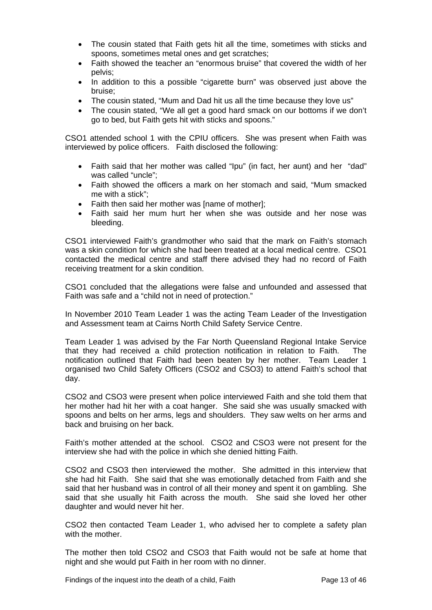- The cousin stated that Faith gets hit all the time, sometimes with sticks and spoons, sometimes metal ones and get scratches;
- Faith showed the teacher an "enormous bruise" that covered the width of her pelvis;
- In addition to this a possible "cigarette burn" was observed just above the bruise;
- The cousin stated, "Mum and Dad hit us all the time because they love us"
- The cousin stated, "We all get a good hard smack on our bottoms if we don't go to bed, but Faith gets hit with sticks and spoons."

CSO1 attended school 1 with the CPIU officers. She was present when Faith was interviewed by police officers. Faith disclosed the following:

- Faith said that her mother was called "Ipu" (in fact, her aunt) and her "dad" was called "uncle";
- Faith showed the officers a mark on her stomach and said, "Mum smacked me with a stick";
- Faith then said her mother was [name of mother];
- Faith said her mum hurt her when she was outside and her nose was bleeding.

CSO1 interviewed Faith's grandmother who said that the mark on Faith's stomach was a skin condition for which she had been treated at a local medical centre. CSO1 contacted the medical centre and staff there advised they had no record of Faith receiving treatment for a skin condition.

CSO1 concluded that the allegations were false and unfounded and assessed that Faith was safe and a "child not in need of protection."

In November 2010 Team Leader 1 was the acting Team Leader of the Investigation and Assessment team at Cairns North Child Safety Service Centre.

Team Leader 1 was advised by the Far North Queensland Regional Intake Service that they had received a child protection notification in relation to Faith. The notification outlined that Faith had been beaten by her mother. Team Leader 1 organised two Child Safety Officers (CSO2 and CSO3) to attend Faith's school that day.

CSO2 and CSO3 were present when police interviewed Faith and she told them that her mother had hit her with a coat hanger. She said she was usually smacked with spoons and belts on her arms, legs and shoulders. They saw welts on her arms and back and bruising on her back.

Faith's mother attended at the school. CSO2 and CSO3 were not present for the interview she had with the police in which she denied hitting Faith.

CSO2 and CSO3 then interviewed the mother. She admitted in this interview that she had hit Faith. She said that she was emotionally detached from Faith and she said that her husband was in control of all their money and spent it on gambling. She said that she usually hit Faith across the mouth. She said she loved her other daughter and would never hit her.

CSO2 then contacted Team Leader 1, who advised her to complete a safety plan with the mother.

The mother then told CSO2 and CSO3 that Faith would not be safe at home that night and she would put Faith in her room with no dinner.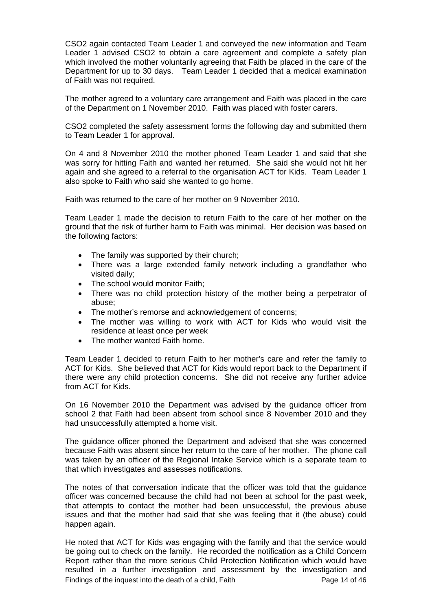CSO2 again contacted Team Leader 1 and conveyed the new information and Team Leader 1 advised CSO2 to obtain a care agreement and complete a safety plan which involved the mother voluntarily agreeing that Faith be placed in the care of the Department for up to 30 days. Team Leader 1 decided that a medical examination of Faith was not required.

The mother agreed to a voluntary care arrangement and Faith was placed in the care of the Department on 1 November 2010. Faith was placed with foster carers.

CSO2 completed the safety assessment forms the following day and submitted them to Team Leader 1 for approval.

On 4 and 8 November 2010 the mother phoned Team Leader 1 and said that she was sorry for hitting Faith and wanted her returned. She said she would not hit her again and she agreed to a referral to the organisation ACT for Kids. Team Leader 1 also spoke to Faith who said she wanted to go home.

Faith was returned to the care of her mother on 9 November 2010.

Team Leader 1 made the decision to return Faith to the care of her mother on the ground that the risk of further harm to Faith was minimal. Her decision was based on the following factors:

- The family was supported by their church;
- There was a large extended family network including a grandfather who visited daily;
- The school would monitor Faith;
- There was no child protection history of the mother being a perpetrator of abuse;
- The mother's remorse and acknowledgement of concerns;
- The mother was willing to work with ACT for Kids who would visit the residence at least once per week
- The mother wanted Faith home.

Team Leader 1 decided to return Faith to her mother's care and refer the family to ACT for Kids. She believed that ACT for Kids would report back to the Department if there were any child protection concerns. She did not receive any further advice from ACT for Kids.

On 16 November 2010 the Department was advised by the guidance officer from school 2 that Faith had been absent from school since 8 November 2010 and they had unsuccessfully attempted a home visit.

The guidance officer phoned the Department and advised that she was concerned because Faith was absent since her return to the care of her mother. The phone call was taken by an officer of the Regional Intake Service which is a separate team to that which investigates and assesses notifications.

The notes of that conversation indicate that the officer was told that the guidance officer was concerned because the child had not been at school for the past week, that attempts to contact the mother had been unsuccessful, the previous abuse issues and that the mother had said that she was feeling that it (the abuse) could happen again.

Findings of the inquest into the death of a child, Faith Page 14 of 46 He noted that ACT for Kids was engaging with the family and that the service would be going out to check on the family. He recorded the notification as a Child Concern Report rather than the more serious Child Protection Notification which would have resulted in a further investigation and assessment by the investigation and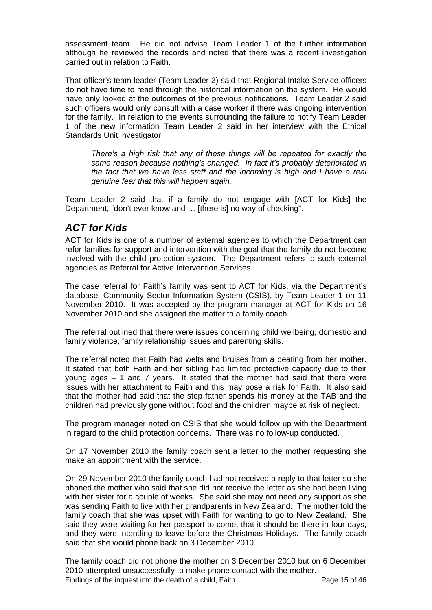assessment team. He did not advise Team Leader 1 of the further information although he reviewed the records and noted that there was a recent investigation carried out in relation to Faith.

That officer's team leader (Team Leader 2) said that Regional Intake Service officers do not have time to read through the historical information on the system. He would have only looked at the outcomes of the previous notifications. Team Leader 2 said such officers would only consult with a case worker if there was ongoing intervention for the family. In relation to the events surrounding the failure to notify Team Leader 1 of the new information Team Leader 2 said in her interview with the Ethical Standards Unit investigator:

*There's a high risk that any of these things will be repeated for exactly the same reason because nothing's changed. In fact it's probably deteriorated in the fact that we have less staff and the incoming is high and I have a real genuine fear that this will happen again.*

Team Leader 2 said that if a family do not engage with [ACT for Kids] the Department, "don't ever know and … [there is] no way of checking".

# <span id="page-15-0"></span>*ACT for Kids*

ACT for Kids is one of a number of external agencies to which the Department can refer families for support and intervention with the goal that the family do not become involved with the child protection system. The Department refers to such external agencies as Referral for Active Intervention Services.

The case referral for Faith's family was sent to ACT for Kids, via the Department's database, Community Sector Information System (CSIS), by Team Leader 1 on 11 November 2010. It was accepted by the program manager at ACT for Kids on 16 November 2010 and she assigned the matter to a family coach.

The referral outlined that there were issues concerning child wellbeing, domestic and family violence, family relationship issues and parenting skills.

The referral noted that Faith had welts and bruises from a beating from her mother. It stated that both Faith and her sibling had limited protective capacity due to their young ages – 1 and 7 years. It stated that the mother had said that there were issues with her attachment to Faith and this may pose a risk for Faith. It also said that the mother had said that the step father spends his money at the TAB and the children had previously gone without food and the children maybe at risk of neglect.

The program manager noted on CSIS that she would follow up with the Department in regard to the child protection concerns. There was no follow-up conducted.

On 17 November 2010 the family coach sent a letter to the mother requesting she make an appointment with the service.

On 29 November 2010 the family coach had not received a reply to that letter so she phoned the mother who said that she did not receive the letter as she had been living with her sister for a couple of weeks. She said she may not need any support as she was sending Faith to live with her grandparents in New Zealand. The mother told the family coach that she was upset with Faith for wanting to go to New Zealand. She said they were waiting for her passport to come, that it should be there in four days, and they were intending to leave before the Christmas Holidays. The family coach said that she would phone back on 3 December 2010.

Findings of the inquest into the death of a child, Faith Page 15 of 46 The family coach did not phone the mother on 3 December 2010 but on 6 December 2010 attempted unsuccessfully to make phone contact with the mother.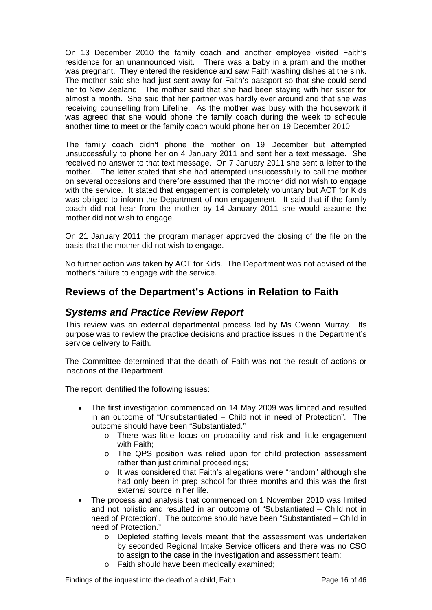On 13 December 2010 the family coach and another employee visited Faith's residence for an unannounced visit. There was a baby in a pram and the mother was pregnant. They entered the residence and saw Faith washing dishes at the sink. The mother said she had just sent away for Faith's passport so that she could send her to New Zealand. The mother said that she had been staying with her sister for almost a month. She said that her partner was hardly ever around and that she was receiving counselling from Lifeline. As the mother was busy with the housework it was agreed that she would phone the family coach during the week to schedule another time to meet or the family coach would phone her on 19 December 2010.

The family coach didn't phone the mother on 19 December but attempted unsuccessfully to phone her on 4 January 2011 and sent her a text message. She received no answer to that text message. On 7 January 2011 she sent a letter to the mother. The letter stated that she had attempted unsuccessfully to call the mother on several occasions and therefore assumed that the mother did not wish to engage with the service. It stated that engagement is completely voluntary but ACT for Kids was obliged to inform the Department of non-engagement. It said that if the family coach did not hear from the mother by 14 January 2011 she would assume the mother did not wish to engage.

On 21 January 2011 the program manager approved the closing of the file on the basis that the mother did not wish to engage.

No further action was taken by ACT for Kids. The Department was not advised of the mother's failure to engage with the service.

# <span id="page-16-0"></span>**Reviews of the Department's Actions in Relation to Faith**

### <span id="page-16-1"></span>*Systems and Practice Review Report*

This review was an external departmental process led by Ms Gwenn Murray. Its purpose was to review the practice decisions and practice issues in the Department's service delivery to Faith.

The Committee determined that the death of Faith was not the result of actions or inactions of the Department.

The report identified the following issues:

- The first investigation commenced on 14 May 2009 was limited and resulted in an outcome of "Unsubstantiated – Child not in need of Protection". The outcome should have been "Substantiated."
	- o There was little focus on probability and risk and little engagement with Faith;
	- o The QPS position was relied upon for child protection assessment rather than just criminal proceedings;
	- o It was considered that Faith's allegations were "random" although she had only been in prep school for three months and this was the first external source in her life.
- The process and analysis that commenced on 1 November 2010 was limited and not holistic and resulted in an outcome of "Substantiated – Child not in need of Protection". The outcome should have been "Substantiated – Child in need of Protection."
	- o Depleted staffing levels meant that the assessment was undertaken by seconded Regional Intake Service officers and there was no CSO to assign to the case in the investigation and assessment team;
	- o Faith should have been medically examined;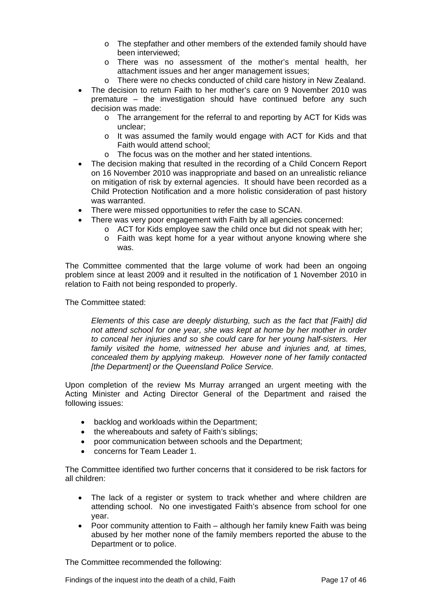- o The stepfather and other members of the extended family should have been interviewed;
- o There was no assessment of the mother's mental health, her attachment issues and her anger management issues;
- o There were no checks conducted of child care history in New Zealand.
- The decision to return Faith to her mother's care on 9 November 2010 was premature – the investigation should have continued before any such decision was made:
	- o The arrangement for the referral to and reporting by ACT for Kids was unclear;
	- o It was assumed the family would engage with ACT for Kids and that Faith would attend school;
	- o The focus was on the mother and her stated intentions.
- The decision making that resulted in the recording of a Child Concern Report on 16 November 2010 was inappropriate and based on an unrealistic reliance on mitigation of risk by external agencies. It should have been recorded as a Child Protection Notification and a more holistic consideration of past history was warranted.
- There were missed opportunities to refer the case to SCAN.
	- There was very poor engagement with Faith by all agencies concerned:
		- o ACT for Kids employee saw the child once but did not speak with her;
		- o Faith was kept home for a year without anyone knowing where she was.

The Committee commented that the large volume of work had been an ongoing problem since at least 2009 and it resulted in the notification of 1 November 2010 in relation to Faith not being responded to properly.

The Committee stated:

*Elements of this case are deeply disturbing, such as the fact that [Faith] did not attend school for one year, she was kept at home by her mother in order to conceal her injuries and so she could care for her young half-sisters. Her family visited the home, witnessed her abuse and injuries and, at times, concealed them by applying makeup. However none of her family contacted [the Department] or the Queensland Police Service.* 

Upon completion of the review Ms Murray arranged an urgent meeting with the Acting Minister and Acting Director General of the Department and raised the following issues:

- backlog and workloads within the Department;
- the whereabouts and safety of Faith's siblings;
- poor communication between schools and the Department:
- concerns for Team Leader 1.

The Committee identified two further concerns that it considered to be risk factors for all children:

- The lack of a register or system to track whether and where children are attending school. No one investigated Faith's absence from school for one year.
- Poor community attention to Faith although her family knew Faith was being abused by her mother none of the family members reported the abuse to the Department or to police.

The Committee recommended the following: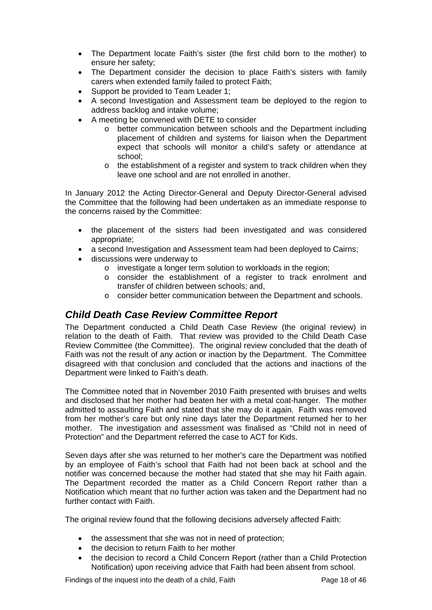- The Department locate Faith's sister (the first child born to the mother) to ensure her safety;
- The Department consider the decision to place Faith's sisters with family carers when extended family failed to protect Faith;
- Support be provided to Team Leader 1;
- A second Investigation and Assessment team be deployed to the region to address backlog and intake volume;
- A meeting be convened with DETE to consider
	- o better communication between schools and the Department including placement of children and systems for liaison when the Department expect that schools will monitor a child's safety or attendance at school;
	- o the establishment of a register and system to track children when they leave one school and are not enrolled in another.

In January 2012 the Acting Director-General and Deputy Director-General advised the Committee that the following had been undertaken as an immediate response to the concerns raised by the Committee:

- the placement of the sisters had been investigated and was considered appropriate;
- a second Investigation and Assessment team had been deployed to Cairns;
- discussions were underway to
	- $\circ$  investigate a longer term solution to workloads in the region:
	- o consider the establishment of a register to track enrolment and transfer of children between schools; and,
	- o consider better communication between the Department and schools.

### <span id="page-18-0"></span>*Child Death Case Review Committee Report*

The Department conducted a Child Death Case Review (the original review) in relation to the death of Faith. That review was provided to the Child Death Case Review Committee (the Committee). The original review concluded that the death of Faith was not the result of any action or inaction by the Department. The Committee disagreed with that conclusion and concluded that the actions and inactions of the Department were linked to Faith's death.

The Committee noted that in November 2010 Faith presented with bruises and welts and disclosed that her mother had beaten her with a metal coat-hanger. The mother admitted to assaulting Faith and stated that she may do it again. Faith was removed from her mother's care but only nine days later the Department returned her to her mother. The investigation and assessment was finalised as "Child not in need of Protection" and the Department referred the case to ACT for Kids.

Seven days after she was returned to her mother's care the Department was notified by an employee of Faith's school that Faith had not been back at school and the notifier was concerned because the mother had stated that she may hit Faith again. The Department recorded the matter as a Child Concern Report rather than a Notification which meant that no further action was taken and the Department had no further contact with Faith.

The original review found that the following decisions adversely affected Faith:

- the assessment that she was not in need of protection;
- the decision to return Faith to her mother
- the decision to record a Child Concern Report (rather than a Child Protection Notification) upon receiving advice that Faith had been absent from school.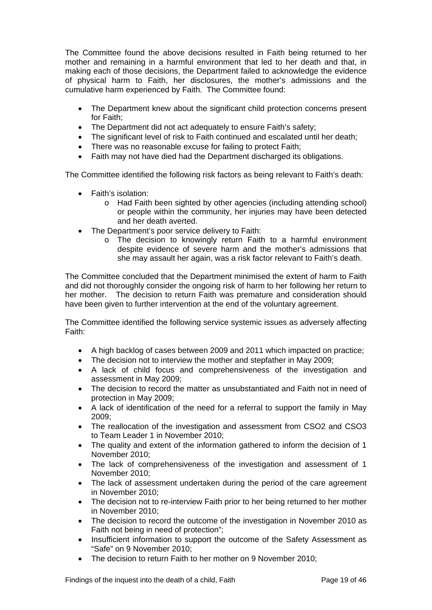The Committee found the above decisions resulted in Faith being returned to her mother and remaining in a harmful environment that led to her death and that, in making each of those decisions, the Department failed to acknowledge the evidence of physical harm to Faith, her disclosures, the mother's admissions and the cumulative harm experienced by Faith. The Committee found:

- The Department knew about the significant child protection concerns present for Faith;
- The Department did not act adequately to ensure Faith's safety:
- The significant level of risk to Faith continued and escalated until her death;
- There was no reasonable excuse for failing to protect Faith;
- Faith may not have died had the Department discharged its obligations.

The Committee identified the following risk factors as being relevant to Faith's death:

- Faith's isolation:
	- o Had Faith been sighted by other agencies (including attending school) or people within the community, her injuries may have been detected and her death averted.
- The Department's poor service delivery to Faith:
	- o The decision to knowingly return Faith to a harmful environment despite evidence of severe harm and the mother's admissions that she may assault her again, was a risk factor relevant to Faith's death.

The Committee concluded that the Department minimised the extent of harm to Faith and did not thoroughly consider the ongoing risk of harm to her following her return to her mother. The decision to return Faith was premature and consideration should have been given to further intervention at the end of the voluntary agreement.

The Committee identified the following service systemic issues as adversely affecting Faith:

- A high backlog of cases between 2009 and 2011 which impacted on practice;
- The decision not to interview the mother and stepfather in May 2009;
- A lack of child focus and comprehensiveness of the investigation and assessment in May 2009;
- The decision to record the matter as unsubstantiated and Faith not in need of protection in May 2009;
- A lack of identification of the need for a referral to support the family in May 2009;
- The reallocation of the investigation and assessment from CSO2 and CSO3 to Team Leader 1 in November 2010;
- The quality and extent of the information gathered to inform the decision of 1 November 2010;
- The lack of comprehensiveness of the investigation and assessment of 1 November 2010;
- The lack of assessment undertaken during the period of the care agreement in November 2010;
- The decision not to re-interview Faith prior to her being returned to her mother in November 2010;
- The decision to record the outcome of the investigation in November 2010 as Faith not being in need of protection";
- Insufficient information to support the outcome of the Safety Assessment as "Safe" on 9 November 2010;
- The decision to return Faith to her mother on 9 November 2010;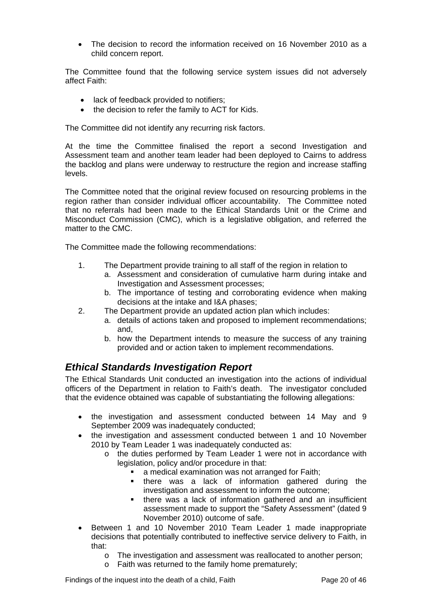The decision to record the information received on 16 November 2010 as a child concern report.

The Committee found that the following service system issues did not adversely affect Faith:

- lack of feedback provided to notifiers;
- the decision to refer the family to ACT for Kids.

The Committee did not identify any recurring risk factors.

At the time the Committee finalised the report a second Investigation and Assessment team and another team leader had been deployed to Cairns to address the backlog and plans were underway to restructure the region and increase staffing levels.

The Committee noted that the original review focused on resourcing problems in the region rather than consider individual officer accountability. The Committee noted that no referrals had been made to the Ethical Standards Unit or the Crime and Misconduct Commission (CMC), which is a legislative obligation, and referred the matter to the CMC.

The Committee made the following recommendations:

- 1. The Department provide training to all staff of the region in relation to
	- a. Assessment and consideration of cumulative harm during intake and Investigation and Assessment processes;
	- b. The importance of testing and corroborating evidence when making decisions at the intake and I&A phases;
- 2. The Department provide an updated action plan which includes:
	- a. details of actions taken and proposed to implement recommendations; and,
	- b. how the Department intends to measure the success of any training provided and or action taken to implement recommendations.

# <span id="page-20-0"></span>*Ethical Standards Investigation Report*

The Ethical Standards Unit conducted an investigation into the actions of individual officers of the Department in relation to Faith's death. The investigator concluded that the evidence obtained was capable of substantiating the following allegations:

- the investigation and assessment conducted between 14 May and 9 September 2009 was inadequately conducted;
- the investigation and assessment conducted between 1 and 10 November 2010 by Team Leader 1 was inadequately conducted as:
	- o the duties performed by Team Leader 1 were not in accordance with legislation, policy and/or procedure in that:
		- a medical examination was not arranged for Faith;
		- **there was a lack of information gathered during the** investigation and assessment to inform the outcome;
		- there was a lack of information gathered and an insufficient assessment made to support the "Safety Assessment" (dated 9 November 2010) outcome of safe.
- Between 1 and 10 November 2010 Team Leader 1 made inappropriate decisions that potentially contributed to ineffective service delivery to Faith, in that:
	- o The investigation and assessment was reallocated to another person;
	- o Faith was returned to the family home prematurely;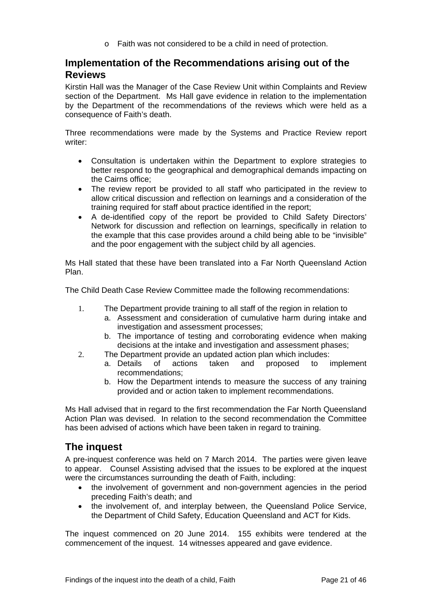o Faith was not considered to be a child in need of protection.

# <span id="page-21-0"></span>**Implementation of the Recommendations arising out of the Reviews**

Kirstin Hall was the Manager of the Case Review Unit within Complaints and Review section of the Department. Ms Hall gave evidence in relation to the implementation by the Department of the recommendations of the reviews which were held as a consequence of Faith's death.

Three recommendations were made by the Systems and Practice Review report writer:

- Consultation is undertaken within the Department to explore strategies to better respond to the geographical and demographical demands impacting on the Cairns office;
- The review report be provided to all staff who participated in the review to allow critical discussion and reflection on learnings and a consideration of the training required for staff about practice identified in the report;
- A de-identified copy of the report be provided to Child Safety Directors' Network for discussion and reflection on learnings, specifically in relation to the example that this case provides around a child being able to be "invisible" and the poor engagement with the subject child by all agencies.

Ms Hall stated that these have been translated into a Far North Queensland Action Plan.

The Child Death Case Review Committee made the following recommendations:

- 1. The Department provide training to all staff of the region in relation to
	- a. Assessment and consideration of cumulative harm during intake and investigation and assessment processes;
	- b. The importance of testing and corroborating evidence when making decisions at the intake and investigation and assessment phases;
- 2. The Department provide an updated action plan which includes:
	- a. Details of actions taken and proposed to implement recommendations;
		- b. How the Department intends to measure the success of any training provided and or action taken to implement recommendations.

Ms Hall advised that in regard to the first recommendation the Far North Queensland Action Plan was devised. In relation to the second recommendation the Committee has been advised of actions which have been taken in regard to training.

# <span id="page-21-1"></span>**The inquest**

A pre-inquest conference was held on 7 March 2014. The parties were given leave to appear. Counsel Assisting advised that the issues to be explored at the inquest were the circumstances surrounding the death of Faith, including:

- the involvement of government and non-government agencies in the period preceding Faith's death; and
- the involvement of, and interplay between, the Queensland Police Service, the Department of Child Safety, Education Queensland and ACT for Kids.

The inquest commenced on 20 June 2014. 155 exhibits were tendered at the commencement of the inquest. 14 witnesses appeared and gave evidence.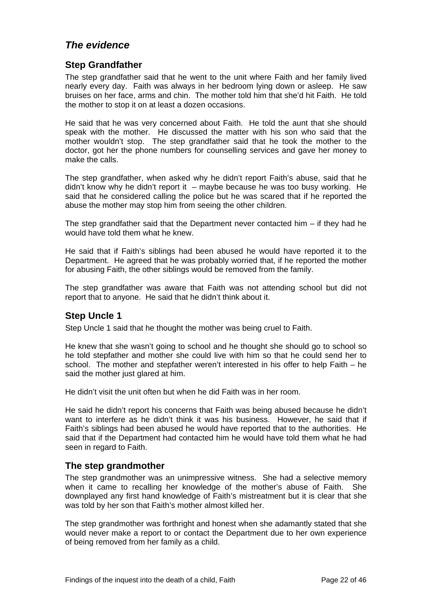# <span id="page-22-0"></span>*The evidence*

#### <span id="page-22-1"></span>**Step Grandfather**

The step grandfather said that he went to the unit where Faith and her family lived nearly every day. Faith was always in her bedroom lying down or asleep. He saw bruises on her face, arms and chin. The mother told him that she'd hit Faith. He told the mother to stop it on at least a dozen occasions.

He said that he was very concerned about Faith. He told the aunt that she should speak with the mother. He discussed the matter with his son who said that the mother wouldn't stop. The step grandfather said that he took the mother to the doctor, got her the phone numbers for counselling services and gave her money to make the calls.

The step grandfather, when asked why he didn't report Faith's abuse, said that he didn't know why he didn't report it – maybe because he was too busy working. He said that he considered calling the police but he was scared that if he reported the abuse the mother may stop him from seeing the other children.

The step grandfather said that the Department never contacted him  $-$  if they had he would have told them what he knew.

He said that if Faith's siblings had been abused he would have reported it to the Department. He agreed that he was probably worried that, if he reported the mother for abusing Faith, the other siblings would be removed from the family.

The step grandfather was aware that Faith was not attending school but did not report that to anyone. He said that he didn't think about it.

### <span id="page-22-2"></span>**Step Uncle 1**

Step Uncle 1 said that he thought the mother was being cruel to Faith.

He knew that she wasn't going to school and he thought she should go to school so he told stepfather and mother she could live with him so that he could send her to school. The mother and stepfather weren't interested in his offer to help Faith – he said the mother just glared at him.

He didn't visit the unit often but when he did Faith was in her room.

He said he didn't report his concerns that Faith was being abused because he didn't want to interfere as he didn't think it was his business. However, he said that if Faith's siblings had been abused he would have reported that to the authorities. He said that if the Department had contacted him he would have told them what he had seen in regard to Faith.

#### <span id="page-22-3"></span>**The step grandmother**

The step grandmother was an unimpressive witness. She had a selective memory when it came to recalling her knowledge of the mother's abuse of Faith. She downplayed any first hand knowledge of Faith's mistreatment but it is clear that she was told by her son that Faith's mother almost killed her.

The step grandmother was forthright and honest when she adamantly stated that she would never make a report to or contact the Department due to her own experience of being removed from her family as a child.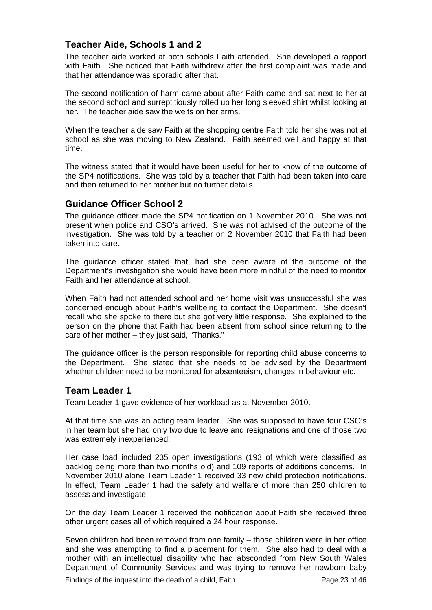#### <span id="page-23-0"></span>**Teacher Aide, Schools 1 and 2**

The teacher aide worked at both schools Faith attended. She developed a rapport with Faith. She noticed that Faith withdrew after the first complaint was made and that her attendance was sporadic after that.

The second notification of harm came about after Faith came and sat next to her at the second school and surreptitiously rolled up her long sleeved shirt whilst looking at her. The teacher aide saw the welts on her arms.

When the teacher aide saw Faith at the shopping centre Faith told her she was not at school as she was moving to New Zealand. Faith seemed well and happy at that time.

The witness stated that it would have been useful for her to know of the outcome of the SP4 notifications. She was told by a teacher that Faith had been taken into care and then returned to her mother but no further details.

#### <span id="page-23-1"></span>**Guidance Officer School 2**

The guidance officer made the SP4 notification on 1 November 2010. She was not present when police and CSO's arrived. She was not advised of the outcome of the investigation. She was told by a teacher on 2 November 2010 that Faith had been taken into care.

The guidance officer stated that, had she been aware of the outcome of the Department's investigation she would have been more mindful of the need to monitor Faith and her attendance at school.

When Faith had not attended school and her home visit was unsuccessful she was concerned enough about Faith's wellbeing to contact the Department. She doesn't recall who she spoke to there but she got very little response. She explained to the person on the phone that Faith had been absent from school since returning to the care of her mother – they just said, "Thanks."

The guidance officer is the person responsible for reporting child abuse concerns to the Department. She stated that she needs to be advised by the Department whether children need to be monitored for absenteeism, changes in behaviour etc.

#### <span id="page-23-2"></span>**Team Leader 1**

Team Leader 1 gave evidence of her workload as at November 2010.

At that time she was an acting team leader. She was supposed to have four CSO's in her team but she had only two due to leave and resignations and one of those two was extremely inexperienced.

Her case load included 235 open investigations (193 of which were classified as backlog being more than two months old) and 109 reports of additions concerns. In November 2010 alone Team Leader 1 received 33 new child protection notifications. In effect, Team Leader 1 had the safety and welfare of more than 250 children to assess and investigate.

On the day Team Leader 1 received the notification about Faith she received three other urgent cases all of which required a 24 hour response.

Seven children had been removed from one family – those children were in her office and she was attempting to find a placement for them. She also had to deal with a mother with an intellectual disability who had absconded from New South Wales Department of Community Services and was trying to remove her newborn baby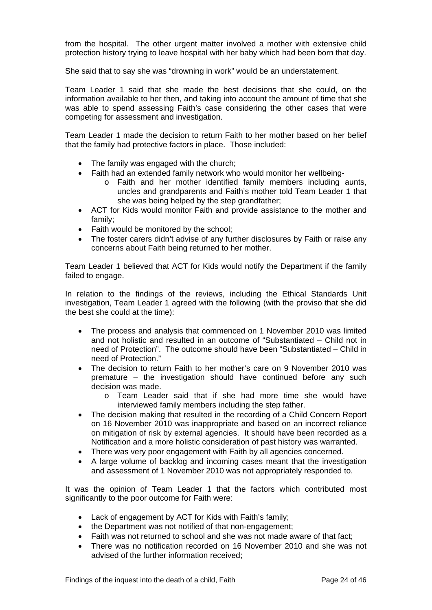from the hospital. The other urgent matter involved a mother with extensive child protection history trying to leave hospital with her baby which had been born that day.

She said that to say she was "drowning in work" would be an understatement.

Team Leader 1 said that she made the best decisions that she could, on the information available to her then, and taking into account the amount of time that she was able to spend assessing Faith's case considering the other cases that were competing for assessment and investigation.

Team Leader 1 made the decision to return Faith to her mother based on her belief that the family had protective factors in place. Those included:

- The family was engaged with the church;
- Faith had an extended family network who would monitor her wellbeing
	- o Faith and her mother identified family members including aunts, uncles and grandparents and Faith's mother told Team Leader 1 that she was being helped by the step grandfather;
- ACT for Kids would monitor Faith and provide assistance to the mother and family;
- Faith would be monitored by the school;
- The foster carers didn't advise of any further disclosures by Faith or raise any concerns about Faith being returned to her mother.

Team Leader 1 believed that ACT for Kids would notify the Department if the family failed to engage.

In relation to the findings of the reviews, including the Ethical Standards Unit investigation, Team Leader 1 agreed with the following (with the proviso that she did the best she could at the time):

- The process and analysis that commenced on 1 November 2010 was limited and not holistic and resulted in an outcome of "Substantiated – Child not in need of Protection". The outcome should have been "Substantiated – Child in need of Protection."
- The decision to return Faith to her mother's care on 9 November 2010 was premature – the investigation should have continued before any such decision was made.
	- o Team Leader said that if she had more time she would have interviewed family members including the step father.
- The decision making that resulted in the recording of a Child Concern Report on 16 November 2010 was inappropriate and based on an incorrect reliance on mitigation of risk by external agencies. It should have been recorded as a Notification and a more holistic consideration of past history was warranted.
- There was very poor engagement with Faith by all agencies concerned.
- A large volume of backlog and incoming cases meant that the investigation and assessment of 1 November 2010 was not appropriately responded to.

It was the opinion of Team Leader 1 that the factors which contributed most significantly to the poor outcome for Faith were:

- Lack of engagement by ACT for Kids with Faith's family;
- the Department was not notified of that non-engagement;
- Faith was not returned to school and she was not made aware of that fact;
- There was no notification recorded on 16 November 2010 and she was not advised of the further information received;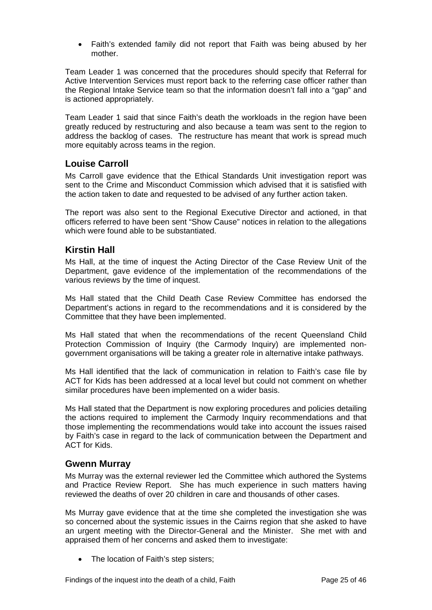Faith's extended family did not report that Faith was being abused by her mother.

Team Leader 1 was concerned that the procedures should specify that Referral for Active Intervention Services must report back to the referring case officer rather than the Regional Intake Service team so that the information doesn't fall into a "gap" and is actioned appropriately.

Team Leader 1 said that since Faith's death the workloads in the region have been greatly reduced by restructuring and also because a team was sent to the region to address the backlog of cases. The restructure has meant that work is spread much more equitably across teams in the region.

#### <span id="page-25-0"></span>**Louise Carroll**

Ms Carroll gave evidence that the Ethical Standards Unit investigation report was sent to the Crime and Misconduct Commission which advised that it is satisfied with the action taken to date and requested to be advised of any further action taken.

The report was also sent to the Regional Executive Director and actioned, in that officers referred to have been sent "Show Cause" notices in relation to the allegations which were found able to be substantiated.

#### <span id="page-25-1"></span>**Kirstin Hall**

Ms Hall, at the time of inquest the Acting Director of the Case Review Unit of the Department, gave evidence of the implementation of the recommendations of the various reviews by the time of inquest.

Ms Hall stated that the Child Death Case Review Committee has endorsed the Department's actions in regard to the recommendations and it is considered by the Committee that they have been implemented.

Ms Hall stated that when the recommendations of the recent Queensland Child Protection Commission of Inquiry (the Carmody Inquiry) are implemented nongovernment organisations will be taking a greater role in alternative intake pathways.

Ms Hall identified that the lack of communication in relation to Faith's case file by ACT for Kids has been addressed at a local level but could not comment on whether similar procedures have been implemented on a wider basis.

Ms Hall stated that the Department is now exploring procedures and policies detailing the actions required to implement the Carmody Inquiry recommendations and that those implementing the recommendations would take into account the issues raised by Faith's case in regard to the lack of communication between the Department and ACT for Kids.

#### <span id="page-25-2"></span>**Gwenn Murray**

Ms Murray was the external reviewer led the Committee which authored the Systems and Practice Review Report. She has much experience in such matters having reviewed the deaths of over 20 children in care and thousands of other cases.

Ms Murray gave evidence that at the time she completed the investigation she was so concerned about the systemic issues in the Cairns region that she asked to have an urgent meeting with the Director-General and the Minister. She met with and appraised them of her concerns and asked them to investigate:

• The location of Faith's step sisters;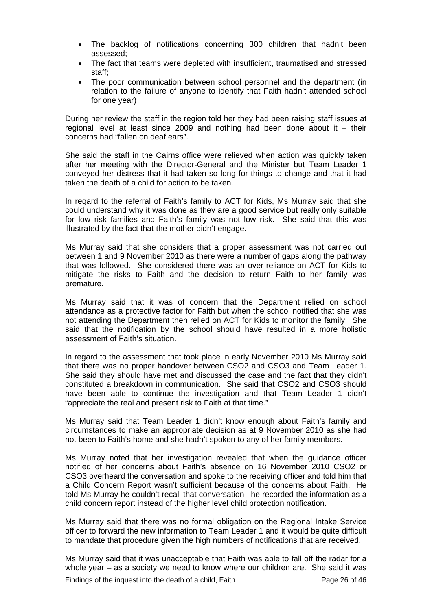- The backlog of notifications concerning 300 children that hadn't been assessed;
- The fact that teams were depleted with insufficient, traumatised and stressed staff;
- The poor communication between school personnel and the department (in relation to the failure of anyone to identify that Faith hadn't attended school for one year)

During her review the staff in the region told her they had been raising staff issues at regional level at least since 2009 and nothing had been done about it – their concerns had "fallen on deaf ears".

She said the staff in the Cairns office were relieved when action was quickly taken after her meeting with the Director-General and the Minister but Team Leader 1 conveyed her distress that it had taken so long for things to change and that it had taken the death of a child for action to be taken.

In regard to the referral of Faith's family to ACT for Kids, Ms Murray said that she could understand why it was done as they are a good service but really only suitable for low risk families and Faith's family was not low risk. She said that this was illustrated by the fact that the mother didn't engage.

Ms Murray said that she considers that a proper assessment was not carried out between 1 and 9 November 2010 as there were a number of gaps along the pathway that was followed. She considered there was an over-reliance on ACT for Kids to mitigate the risks to Faith and the decision to return Faith to her family was premature.

Ms Murray said that it was of concern that the Department relied on school attendance as a protective factor for Faith but when the school notified that she was not attending the Department then relied on ACT for Kids to monitor the family. She said that the notification by the school should have resulted in a more holistic assessment of Faith's situation.

In regard to the assessment that took place in early November 2010 Ms Murray said that there was no proper handover between CSO2 and CSO3 and Team Leader 1. She said they should have met and discussed the case and the fact that they didn't constituted a breakdown in communication. She said that CSO2 and CSO3 should have been able to continue the investigation and that Team Leader 1 didn't "appreciate the real and present risk to Faith at that time."

Ms Murray said that Team Leader 1 didn't know enough about Faith's family and circumstances to make an appropriate decision as at 9 November 2010 as she had not been to Faith's home and she hadn't spoken to any of her family members.

Ms Murray noted that her investigation revealed that when the guidance officer notified of her concerns about Faith's absence on 16 November 2010 CSO2 or CSO3 overheard the conversation and spoke to the receiving officer and told him that a Child Concern Report wasn't sufficient because of the concerns about Faith. He told Ms Murray he couldn't recall that conversation– he recorded the information as a child concern report instead of the higher level child protection notification.

Ms Murray said that there was no formal obligation on the Regional Intake Service officer to forward the new information to Team Leader 1 and it would be quite difficult to mandate that procedure given the high numbers of notifications that are received.

Ms Murray said that it was unacceptable that Faith was able to fall off the radar for a whole year – as a society we need to know where our children are. She said it was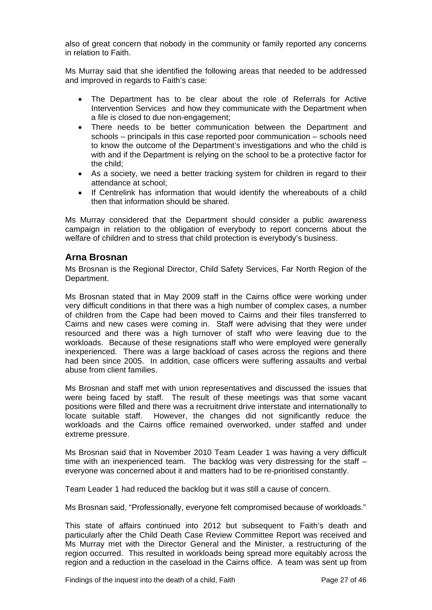also of great concern that nobody in the community or family reported any concerns in relation to Faith.

Ms Murray said that she identified the following areas that needed to be addressed and improved in regards to Faith's case:

- The Department has to be clear about the role of Referrals for Active Intervention Services and how they communicate with the Department when a file is closed to due non-engagement;
- There needs to be better communication between the Department and schools – principals in this case reported poor communication – schools need to know the outcome of the Department's investigations and who the child is with and if the Department is relying on the school to be a protective factor for the child;
- As a society, we need a better tracking system for children in regard to their attendance at school;
- If Centrelink has information that would identify the whereabouts of a child then that information should be shared.

Ms Murray considered that the Department should consider a public awareness campaign in relation to the obligation of everybody to report concerns about the welfare of children and to stress that child protection is everybody's business.

#### <span id="page-27-0"></span>**Arna Brosnan**

Ms Brosnan is the Regional Director, Child Safety Services, Far North Region of the Department.

Ms Brosnan stated that in May 2009 staff in the Cairns office were working under very difficult conditions in that there was a high number of complex cases, a number of children from the Cape had been moved to Cairns and their files transferred to Cairns and new cases were coming in. Staff were advising that they were under resourced and there was a high turnover of staff who were leaving due to the workloads. Because of these resignations staff who were employed were generally inexperienced. There was a large backload of cases across the regions and there had been since 2005. In addition, case officers were suffering assaults and verbal abuse from client families.

Ms Brosnan and staff met with union representatives and discussed the issues that were being faced by staff. The result of these meetings was that some vacant positions were filled and there was a recruitment drive interstate and internationally to locate suitable staff. However, the changes did not significantly reduce the workloads and the Cairns office remained overworked, under staffed and under extreme pressure.

Ms Brosnan said that in November 2010 Team Leader 1 was having a very difficult time with an inexperienced team. The backlog was very distressing for the staff – everyone was concerned about it and matters had to be re-prioritised constantly.

Team Leader 1 had reduced the backlog but it was still a cause of concern.

Ms Brosnan said, "Professionally, everyone felt compromised because of workloads."

This state of affairs continued into 2012 but subsequent to Faith's death and particularly after the Child Death Case Review Committee Report was received and Ms Murray met with the Director General and the Minister, a restructuring of the region occurred. This resulted in workloads being spread more equitably across the region and a reduction in the caseload in the Cairns office. A team was sent up from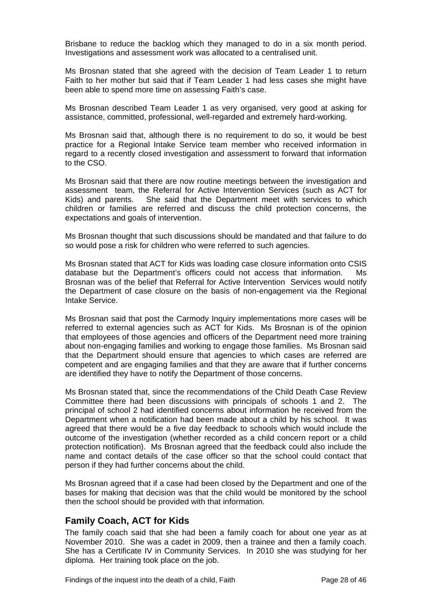Brisbane to reduce the backlog which they managed to do in a six month period. Investigations and assessment work was allocated to a centralised unit.

Ms Brosnan stated that she agreed with the decision of Team Leader 1 to return Faith to her mother but said that if Team Leader 1 had less cases she might have been able to spend more time on assessing Faith's case.

Ms Brosnan described Team Leader 1 as very organised, very good at asking for assistance, committed, professional, well-regarded and extremely hard-working.

Ms Brosnan said that, although there is no requirement to do so, it would be best practice for a Regional Intake Service team member who received information in regard to a recently closed investigation and assessment to forward that information to the CSO.

Ms Brosnan said that there are now routine meetings between the investigation and assessment team, the Referral for Active Intervention Services (such as ACT for Kids) and parents. She said that the Department meet with services to which children or families are referred and discuss the child protection concerns, the expectations and goals of intervention.

Ms Brosnan thought that such discussions should be mandated and that failure to do so would pose a risk for children who were referred to such agencies.

Ms Brosnan stated that ACT for Kids was loading case closure information onto CSIS database but the Department's officers could not access that information. Ms Brosnan was of the belief that Referral for Active Intervention Services would notify the Department of case closure on the basis of non-engagement via the Regional Intake Service.

Ms Brosnan said that post the Carmody Inquiry implementations more cases will be referred to external agencies such as ACT for Kids. Ms Brosnan is of the opinion that employees of those agencies and officers of the Department need more training about non-engaging families and working to engage those families. Ms Brosnan said that the Department should ensure that agencies to which cases are referred are competent and are engaging families and that they are aware that if further concerns are identified they have to notify the Department of those concerns.

Ms Brosnan stated that, since the recommendations of the Child Death Case Review Committee there had been discussions with principals of schools 1 and 2. The principal of school 2 had identified concerns about information he received from the Department when a notification had been made about a child by his school. It was agreed that there would be a five day feedback to schools which would include the outcome of the investigation (whether recorded as a child concern report or a child protection notification). Ms Brosnan agreed that the feedback could also include the name and contact details of the case officer so that the school could contact that person if they had further concerns about the child.

Ms Brosnan agreed that if a case had been closed by the Department and one of the bases for making that decision was that the child would be monitored by the school then the school should be provided with that information.

#### <span id="page-28-0"></span>**Family Coach, ACT for Kids**

The family coach said that she had been a family coach for about one year as at November 2010. She was a cadet in 2009, then a trainee and then a family coach. She has a Certificate IV in Community Services. In 2010 she was studying for her diploma. Her training took place on the job.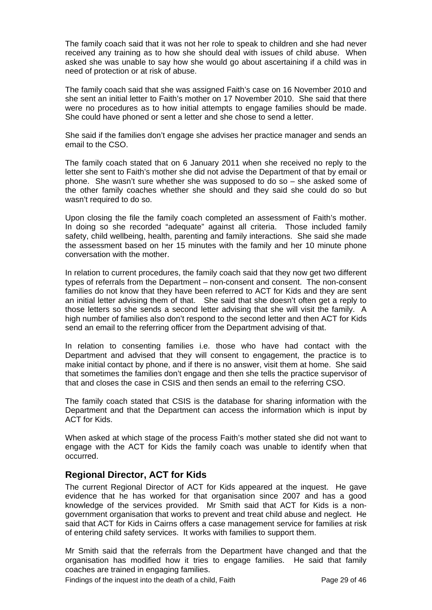The family coach said that it was not her role to speak to children and she had never received any training as to how she should deal with issues of child abuse. When asked she was unable to say how she would go about ascertaining if a child was in need of protection or at risk of abuse.

The family coach said that she was assigned Faith's case on 16 November 2010 and she sent an initial letter to Faith's mother on 17 November 2010. She said that there were no procedures as to how initial attempts to engage families should be made. She could have phoned or sent a letter and she chose to send a letter.

She said if the families don't engage she advises her practice manager and sends an email to the CSO.

The family coach stated that on 6 January 2011 when she received no reply to the letter she sent to Faith's mother she did not advise the Department of that by email or phone. She wasn't sure whether she was supposed to do so – she asked some of the other family coaches whether she should and they said she could do so but wasn't required to do so.

Upon closing the file the family coach completed an assessment of Faith's mother. In doing so she recorded "adequate" against all criteria. Those included family safety, child wellbeing, health, parenting and family interactions. She said she made the assessment based on her 15 minutes with the family and her 10 minute phone conversation with the mother.

In relation to current procedures, the family coach said that they now get two different types of referrals from the Department – non-consent and consent. The non-consent families do not know that they have been referred to ACT for Kids and they are sent an initial letter advising them of that. She said that she doesn't often get a reply to those letters so she sends a second letter advising that she will visit the family. A high number of families also don't respond to the second letter and then ACT for Kids send an email to the referring officer from the Department advising of that.

In relation to consenting families i.e. those who have had contact with the Department and advised that they will consent to engagement, the practice is to make initial contact by phone, and if there is no answer, visit them at home. She said that sometimes the families don't engage and then she tells the practice supervisor of that and closes the case in CSIS and then sends an email to the referring CSO.

The family coach stated that CSIS is the database for sharing information with the Department and that the Department can access the information which is input by ACT for Kids.

When asked at which stage of the process Faith's mother stated she did not want to engage with the ACT for Kids the family coach was unable to identify when that occurred.

### <span id="page-29-0"></span>**Regional Director, ACT for Kids**

The current Regional Director of ACT for Kids appeared at the inquest. He gave evidence that he has worked for that organisation since 2007 and has a good knowledge of the services provided. Mr Smith said that ACT for Kids is a nongovernment organisation that works to prevent and treat child abuse and neglect. He said that ACT for Kids in Cairns offers a case management service for families at risk of entering child safety services. It works with families to support them.

Mr Smith said that the referrals from the Department have changed and that the organisation has modified how it tries to engage families. He said that family coaches are trained in engaging families.

Findings of the inquest into the death of a child, Faith Page 29 of 46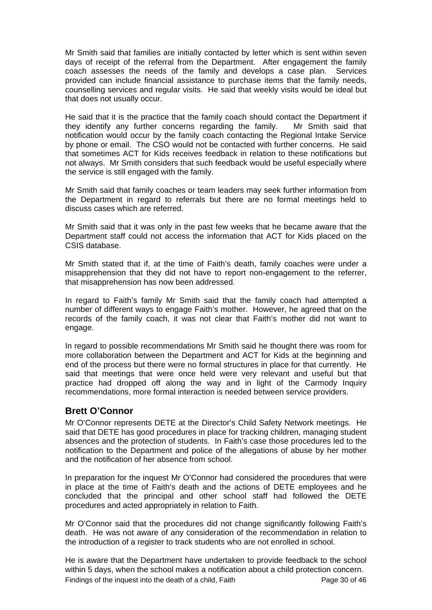Mr Smith said that families are initially contacted by letter which is sent within seven days of receipt of the referral from the Department. After engagement the family coach assesses the needs of the family and develops a case plan. Services provided can include financial assistance to purchase items that the family needs, counselling services and regular visits. He said that weekly visits would be ideal but that does not usually occur.

He said that it is the practice that the family coach should contact the Department if they identify any further concerns regarding the family. Mr Smith said that notification would occur by the family coach contacting the Regional Intake Service by phone or email. The CSO would not be contacted with further concerns. He said that sometimes ACT for Kids receives feedback in relation to these notifications but not always. Mr Smith considers that such feedback would be useful especially where the service is still engaged with the family.

Mr Smith said that family coaches or team leaders may seek further information from the Department in regard to referrals but there are no formal meetings held to discuss cases which are referred.

Mr Smith said that it was only in the past few weeks that he became aware that the Department staff could not access the information that ACT for Kids placed on the CSIS database.

Mr Smith stated that if, at the time of Faith's death, family coaches were under a misapprehension that they did not have to report non-engagement to the referrer, that misapprehension has now been addressed.

In regard to Faith's family Mr Smith said that the family coach had attempted a number of different ways to engage Faith's mother. However, he agreed that on the records of the family coach, it was not clear that Faith's mother did not want to engage.

In regard to possible recommendations Mr Smith said he thought there was room for more collaboration between the Department and ACT for Kids at the beginning and end of the process but there were no formal structures in place for that currently. He said that meetings that were once held were very relevant and useful but that practice had dropped off along the way and in light of the Carmody Inquiry recommendations, more formal interaction is needed between service providers.

### <span id="page-30-0"></span>**Brett O'Connor**

Mr O'Connor represents DETE at the Director's Child Safety Network meetings. He said that DETE has good procedures in place for tracking children, managing student absences and the protection of students. In Faith's case those procedures led to the notification to the Department and police of the allegations of abuse by her mother and the notification of her absence from school.

In preparation for the inquest Mr O'Connor had considered the procedures that were in place at the time of Faith's death and the actions of DETE employees and he concluded that the principal and other school staff had followed the DETE procedures and acted appropriately in relation to Faith.

Mr O'Connor said that the procedures did not change significantly following Faith's death. He was not aware of any consideration of the recommendation in relation to the introduction of a register to track students who are not enrolled in school.

He is aware that the Department have undertaken to provide feedback to the school within 5 days, when the school makes a notification about a child protection concern.

Findings of the inquest into the death of a child, Faith Page 30 of 46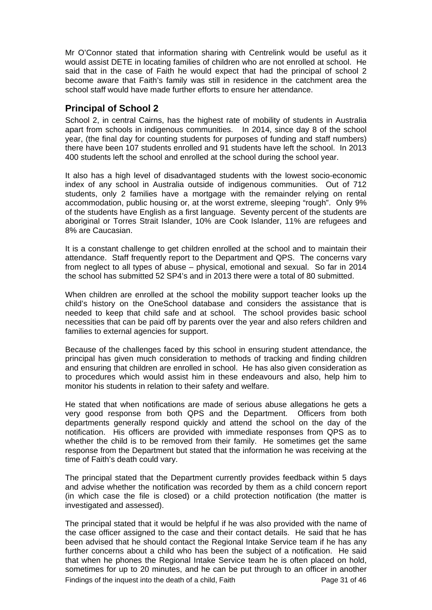Mr O'Connor stated that information sharing with Centrelink would be useful as it would assist DETE in locating families of children who are not enrolled at school. He said that in the case of Faith he would expect that had the principal of school 2 become aware that Faith's family was still in residence in the catchment area the school staff would have made further efforts to ensure her attendance.

## <span id="page-31-0"></span>**Principal of School 2**

School 2, in central Cairns, has the highest rate of mobility of students in Australia apart from schools in indigenous communities. In 2014, since day 8 of the school year, (the final day for counting students for purposes of funding and staff numbers) there have been 107 students enrolled and 91 students have left the school. In 2013 400 students left the school and enrolled at the school during the school year.

It also has a high level of disadvantaged students with the lowest socio-economic index of any school in Australia outside of indigenous communities. Out of 712 students, only 2 families have a mortgage with the remainder relying on rental accommodation, public housing or, at the worst extreme, sleeping "rough". Only 9% of the students have English as a first language. Seventy percent of the students are aboriginal or Torres Strait Islander, 10% are Cook Islander, 11% are refugees and 8% are Caucasian.

It is a constant challenge to get children enrolled at the school and to maintain their attendance. Staff frequently report to the Department and QPS. The concerns vary from neglect to all types of abuse – physical, emotional and sexual. So far in 2014 the school has submitted 52 SP4's and in 2013 there were a total of 80 submitted.

When children are enrolled at the school the mobility support teacher looks up the child's history on the OneSchool database and considers the assistance that is needed to keep that child safe and at school. The school provides basic school necessities that can be paid off by parents over the year and also refers children and families to external agencies for support.

Because of the challenges faced by this school in ensuring student attendance, the principal has given much consideration to methods of tracking and finding children and ensuring that children are enrolled in school. He has also given consideration as to procedures which would assist him in these endeavours and also, help him to monitor his students in relation to their safety and welfare.

He stated that when notifications are made of serious abuse allegations he gets a very good response from both QPS and the Department. Officers from both departments generally respond quickly and attend the school on the day of the notification. His officers are provided with immediate responses from QPS as to whether the child is to be removed from their family. He sometimes get the same response from the Department but stated that the information he was receiving at the time of Faith's death could vary.

The principal stated that the Department currently provides feedback within 5 days and advise whether the notification was recorded by them as a child concern report (in which case the file is closed) or a child protection notification (the matter is investigated and assessed).

The principal stated that it would be helpful if he was also provided with the name of the case officer assigned to the case and their contact details. He said that he has been advised that he should contact the Regional Intake Service team if he has any further concerns about a child who has been the subject of a notification. He said that when he phones the Regional Intake Service team he is often placed on hold, sometimes for up to 20 minutes, and he can be put through to an officer in another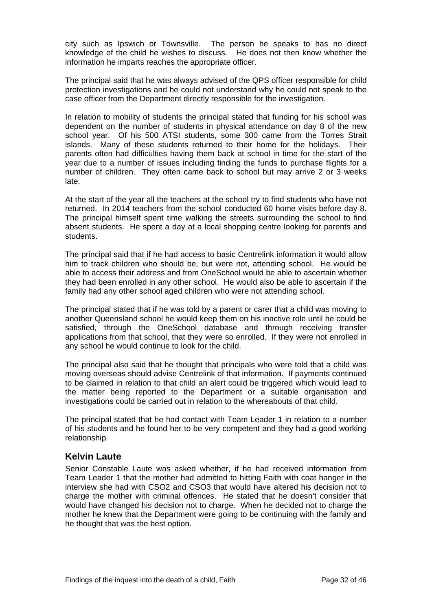city such as Ipswich or Townsville. The person he speaks to has no direct knowledge of the child he wishes to discuss. He does not then know whether the information he imparts reaches the appropriate officer.

The principal said that he was always advised of the QPS officer responsible for child protection investigations and he could not understand why he could not speak to the case officer from the Department directly responsible for the investigation.

In relation to mobility of students the principal stated that funding for his school was dependent on the number of students in physical attendance on day 8 of the new school year. Of his 500 ATSI students, some 300 came from the Torres Strait islands. Many of these students returned to their home for the holidays. Their parents often had difficulties having them back at school in time for the start of the year due to a number of issues including finding the funds to purchase flights for a number of children. They often came back to school but may arrive 2 or 3 weeks late.

At the start of the year all the teachers at the school try to find students who have not returned. In 2014 teachers from the school conducted 60 home visits before day 8. The principal himself spent time walking the streets surrounding the school to find absent students. He spent a day at a local shopping centre looking for parents and students.

The principal said that if he had access to basic Centrelink information it would allow him to track children who should be, but were not, attending school. He would be able to access their address and from OneSchool would be able to ascertain whether they had been enrolled in any other school. He would also be able to ascertain if the family had any other school aged children who were not attending school.

The principal stated that if he was told by a parent or carer that a child was moving to another Queensland school he would keep them on his inactive role until he could be satisfied, through the OneSchool database and through receiving transfer applications from that school, that they were so enrolled. If they were not enrolled in any school he would continue to look for the child.

The principal also said that he thought that principals who were told that a child was moving overseas should advise Centrelink of that information. If payments continued to be claimed in relation to that child an alert could be triggered which would lead to the matter being reported to the Department or a suitable organisation and investigations could be carried out in relation to the whereabouts of that child.

The principal stated that he had contact with Team Leader 1 in relation to a number of his students and he found her to be very competent and they had a good working relationship.

#### <span id="page-32-0"></span>**Kelvin Laute**

Senior Constable Laute was asked whether, if he had received information from Team Leader 1 that the mother had admitted to hitting Faith with coat hanger in the interview she had with CSO2 and CSO3 that would have altered his decision not to charge the mother with criminal offences. He stated that he doesn't consider that would have changed his decision not to charge. When he decided not to charge the mother he knew that the Department were going to be continuing with the family and he thought that was the best option.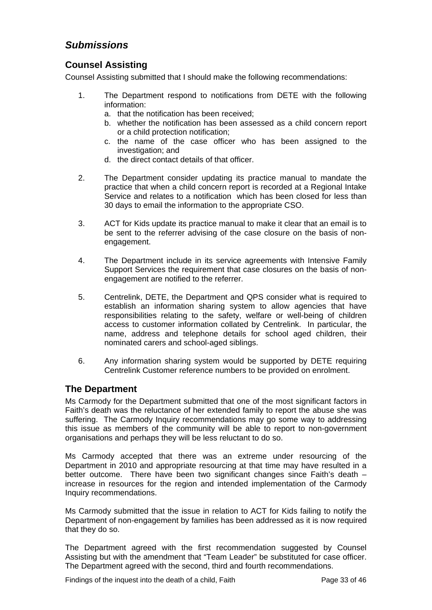# <span id="page-33-0"></span>*Submissions*

### <span id="page-33-1"></span>**Counsel Assisting**

Counsel Assisting submitted that I should make the following recommendations:

- 1. The Department respond to notifications from DETE with the following information:
	- a. that the notification has been received;
	- b. whether the notification has been assessed as a child concern report or a child protection notification;
	- c. the name of the case officer who has been assigned to the investigation; and
	- d. the direct contact details of that officer.
- 2. The Department consider updating its practice manual to mandate the practice that when a child concern report is recorded at a Regional Intake Service and relates to a notification which has been closed for less than 30 days to email the information to the appropriate CSO.
- 3. ACT for Kids update its practice manual to make it clear that an email is to be sent to the referrer advising of the case closure on the basis of nonengagement.
- 4. The Department include in its service agreements with Intensive Family Support Services the requirement that case closures on the basis of nonengagement are notified to the referrer.
- 5. Centrelink, DETE, the Department and QPS consider what is required to establish an information sharing system to allow agencies that have responsibilities relating to the safety, welfare or well-being of children access to customer information collated by Centrelink. In particular, the name, address and telephone details for school aged children, their nominated carers and school-aged siblings.
- 6. Any information sharing system would be supported by DETE requiring Centrelink Customer reference numbers to be provided on enrolment.

### <span id="page-33-2"></span>**The Department**

Ms Carmody for the Department submitted that one of the most significant factors in Faith's death was the reluctance of her extended family to report the abuse she was suffering. The Carmody Inquiry recommendations may go some way to addressing this issue as members of the community will be able to report to non-government organisations and perhaps they will be less reluctant to do so.

Ms Carmody accepted that there was an extreme under resourcing of the Department in 2010 and appropriate resourcing at that time may have resulted in a better outcome. There have been two significant changes since Faith's death – increase in resources for the region and intended implementation of the Carmody Inquiry recommendations.

Ms Carmody submitted that the issue in relation to ACT for Kids failing to notify the Department of non-engagement by families has been addressed as it is now required that they do so.

The Department agreed with the first recommendation suggested by Counsel Assisting but with the amendment that "Team Leader" be substituted for case officer. The Department agreed with the second, third and fourth recommendations.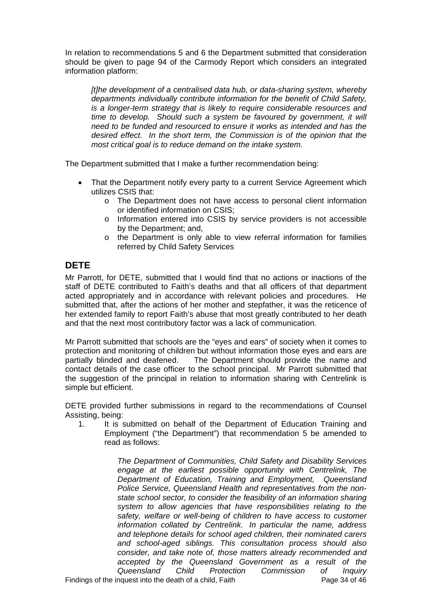In relation to recommendations 5 and 6 the Department submitted that consideration should be given to page 94 of the Carmody Report which considers an integrated information platform:

*[t]he development of a centralised data hub, or data-sharing system, whereby departments individually contribute information for the benefit of Child Safety, is a longer-term strategy that is likely to require considerable resources and time to develop. Should such a system be favoured by government, it will need to be funded and resourced to ensure it works as intended and has the desired effect. In the short term, the Commission is of the opinion that the most critical goal is to reduce demand on the intake system.* 

The Department submitted that I make a further recommendation being:

- That the Department notify every party to a current Service Agreement which utilizes CSIS that:
	- o The Department does not have access to personal client information or identified information on CSIS;
	- o Information entered into CSIS by service providers is not accessible by the Department; and,
	- o the Department is only able to view referral information for families referred by Child Safety Services

# <span id="page-34-0"></span>**DETE**

Mr Parrott, for DETE, submitted that I would find that no actions or inactions of the staff of DETE contributed to Faith's deaths and that all officers of that department acted appropriately and in accordance with relevant policies and procedures. He submitted that, after the actions of her mother and stepfather, it was the reticence of her extended family to report Faith's abuse that most greatly contributed to her death and that the next most contributory factor was a lack of communication.

Mr Parrott submitted that schools are the "eyes and ears" of society when it comes to protection and monitoring of children but without information those eyes and ears are partially blinded and deafened. The Department should provide the name and contact details of the case officer to the school principal. Mr Parrott submitted that the suggestion of the principal in relation to information sharing with Centrelink is simple but efficient.

DETE provided further submissions in regard to the recommendations of Counsel Assisting, being:

1. It is submitted on behalf of the Department of Education Training and Employment ("the Department") that recommendation 5 be amended to read as follows:

> *The Department of Communities, Child Safety and Disability Services engage at the earliest possible opportunity with Centrelink, The Department of Education, Training and Employment, Queensland Police Service, Queensland Health and representatives from the nonstate school sector, to consider the feasibility of an information sharing system to allow agencies that have responsibilities relating to the safety, welfare or well-being of children to have access to customer information collated by Centrelink. In particular the name, address and telephone details for school aged children, their nominated carers and school-aged siblings. This consultation process should also consider, and take note of, those matters already recommended and accepted by the Queensland Government as a result of the Queensland Child Protection Commission of Inquiry*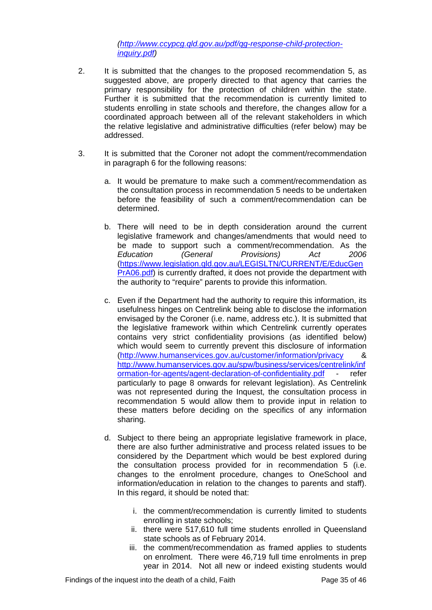*([http://www.ccypcg.qld.gov.au/pdf/qg-response-child-protection](http://www.ccypcg.qld.gov.au/pdf/qg-response-child-protection-inquiry.pdf)[inquiry.pdf\)](http://www.ccypcg.qld.gov.au/pdf/qg-response-child-protection-inquiry.pdf)* 

- 2. It is submitted that the changes to the proposed recommendation 5, as suggested above, are properly directed to that agency that carries the primary responsibility for the protection of children within the state. Further it is submitted that the recommendation is currently limited to students enrolling in state schools and therefore, the changes allow for a coordinated approach between all of the relevant stakeholders in which the relative legislative and administrative difficulties (refer below) may be addressed.
- 3. It is submitted that the Coroner not adopt the comment/recommendation in paragraph 6 for the following reasons:
	- a. It would be premature to make such a comment/recommendation as the consultation process in recommendation 5 needs to be undertaken before the feasibility of such a comment/recommendation can be determined.
	- b. There will need to be in depth consideration around the current legislative framework and changes/amendments that would need to be made to support such a comment/recommendation. As the *Education (General Provisions) Act 2006*  ([https://www.legislation.qld.gov.au/LEGISLTN/CURRENT/E/EducGen](https://www.legislation.qld.gov.au/LEGISLTN/CURRENT/E/EducGenPrA06.pdf) [PrA06.pdf\)](https://www.legislation.qld.gov.au/LEGISLTN/CURRENT/E/EducGenPrA06.pdf) is currently drafted, it does not provide the department with the authority to "require" parents to provide this information.
	- c. Even if the Department had the authority to require this information, its usefulness hinges on Centrelink being able to disclose the information envisaged by the Coroner (i.e. name, address etc.). It is submitted that the legislative framework within which Centrelink currently operates contains very strict confidentiality provisions (as identified below) which would seem to currently prevent this disclosure of information (<http://www.humanservices.gov.au/customer/information/privacy>& [http://www.humanservices.gov.au/spw/business/services/centrelink/inf](http://www.humanservices.gov.au/spw/business/services/centrelink/information-for-agents/agent-declaration-of-confidentiality.pdf) [ormation-for-agents/agent-declaration-of-confidentiality.pdf](http://www.humanservices.gov.au/spw/business/services/centrelink/information-for-agents/agent-declaration-of-confidentiality.pdf) - refer particularly to page 8 onwards for relevant legislation). As Centrelink was not represented during the Inquest, the consultation process in recommendation 5 would allow them to provide input in relation to these matters before deciding on the specifics of any information sharing.
	- d. Subject to there being an appropriate legislative framework in place, there are also further administrative and process related issues to be considered by the Department which would be best explored during the consultation process provided for in recommendation 5 (i.e. changes to the enrolment procedure, changes to OneSchool and information/education in relation to the changes to parents and staff). In this regard, it should be noted that:
		- i. the comment/recommendation is currently limited to students enrolling in state schools;
		- ii. there were 517,610 full time students enrolled in Queensland state schools as of February 2014.
		- iii. the comment/recommendation as framed applies to students on enrolment. There were 46,719 full time enrolments in prep year in 2014. Not all new or indeed existing students would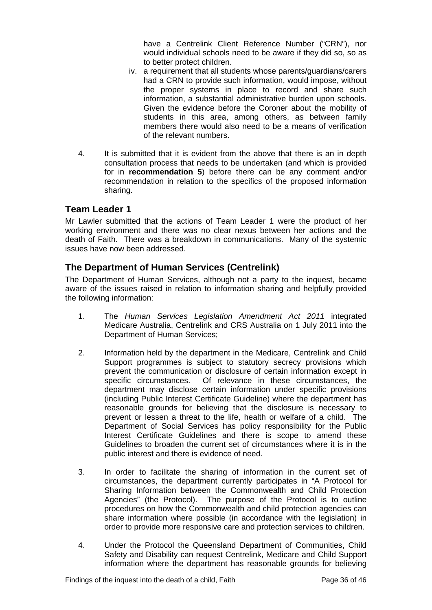have a Centrelink Client Reference Number ("CRN"), nor would individual schools need to be aware if they did so, so as to better protect children.

- iv. a requirement that all students whose parents/guardians/carers had a CRN to provide such information, would impose, without the proper systems in place to record and share such information, a substantial administrative burden upon schools. Given the evidence before the Coroner about the mobility of students in this area, among others, as between family members there would also need to be a means of verification of the relevant numbers.
- 4. It is submitted that it is evident from the above that there is an in depth consultation process that needs to be undertaken (and which is provided for in **recommendation 5**) before there can be any comment and/or recommendation in relation to the specifics of the proposed information sharing.

### <span id="page-36-0"></span>**Team Leader 1**

Mr Lawler submitted that the actions of Team Leader 1 were the product of her working environment and there was no clear nexus between her actions and the death of Faith. There was a breakdown in communications. Many of the systemic issues have now been addressed.

#### <span id="page-36-1"></span>**The Department of Human Services (Centrelink)**

The Department of Human Services, although not a party to the inquest, became aware of the issues raised in relation to information sharing and helpfully provided the following information:

- 1. The *Human Services Legislation Amendment Act 2011* integrated Medicare Australia, Centrelink and CRS Australia on 1 July 2011 into the Department of Human Services;
- 2. Information held by the department in the Medicare, Centrelink and Child Support programmes is subject to statutory secrecy provisions which prevent the communication or disclosure of certain information except in specific circumstances. Of relevance in these circumstances, the department may disclose certain information under specific provisions (including Public Interest Certificate Guideline) where the department has reasonable grounds for believing that the disclosure is necessary to prevent or lessen a threat to the life, health or welfare of a child. The Department of Social Services has policy responsibility for the Public Interest Certificate Guidelines and there is scope to amend these Guidelines to broaden the current set of circumstances where it is in the public interest and there is evidence of need.
- 3. In order to facilitate the sharing of information in the current set of circumstances, the department currently participates in "A Protocol for Sharing Information between the Commonwealth and Child Protection Agencies" (the Protocol). The purpose of the Protocol is to outline procedures on how the Commonwealth and child protection agencies can share information where possible (in accordance with the legislation) in order to provide more responsive care and protection services to children.
- 4. Under the Protocol the Queensland Department of Communities, Child Safety and Disability can request Centrelink, Medicare and Child Support information where the department has reasonable grounds for believing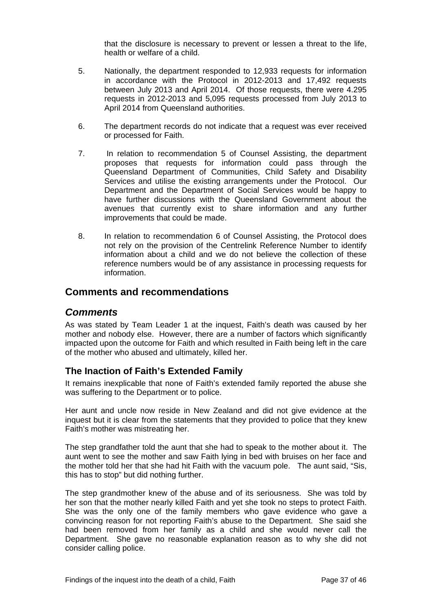that the disclosure is necessary to prevent or lessen a threat to the life, health or welfare of a child.

- 5. Nationally, the department responded to 12,933 requests for information in accordance with the Protocol in 2012-2013 and 17,492 requests between July 2013 and April 2014. Of those requests, there were 4.295 requests in 2012-2013 and 5,095 requests processed from July 2013 to April 2014 from Queensland authorities.
- 6. The department records do not indicate that a request was ever received or processed for Faith.
- 7. In relation to recommendation 5 of Counsel Assisting, the department proposes that requests for information could pass through the Queensland Department of Communities, Child Safety and Disability Services and utilise the existing arrangements under the Protocol. Our Department and the Department of Social Services would be happy to have further discussions with the Queensland Government about the avenues that currently exist to share information and any further improvements that could be made.
- 8. In relation to recommendation 6 of Counsel Assisting, the Protocol does not rely on the provision of the Centrelink Reference Number to identify information about a child and we do not believe the collection of these reference numbers would be of any assistance in processing requests for information.

#### <span id="page-37-0"></span>**Comments and recommendations**

#### <span id="page-37-1"></span>*Comments*

As was stated by Team Leader 1 at the inquest, Faith's death was caused by her mother and nobody else. However, there are a number of factors which significantly impacted upon the outcome for Faith and which resulted in Faith being left in the care of the mother who abused and ultimately, killed her.

#### <span id="page-37-2"></span>**The Inaction of Faith's Extended Family**

It remains inexplicable that none of Faith's extended family reported the abuse she was suffering to the Department or to police.

Her aunt and uncle now reside in New Zealand and did not give evidence at the inquest but it is clear from the statements that they provided to police that they knew Faith's mother was mistreating her.

The step grandfather told the aunt that she had to speak to the mother about it. The aunt went to see the mother and saw Faith lying in bed with bruises on her face and the mother told her that she had hit Faith with the vacuum pole. The aunt said, "Sis, this has to stop" but did nothing further.

The step grandmother knew of the abuse and of its seriousness. She was told by her son that the mother nearly killed Faith and yet she took no steps to protect Faith. She was the only one of the family members who gave evidence who gave a convincing reason for not reporting Faith's abuse to the Department. She said she had been removed from her family as a child and she would never call the Department. She gave no reasonable explanation reason as to why she did not consider calling police.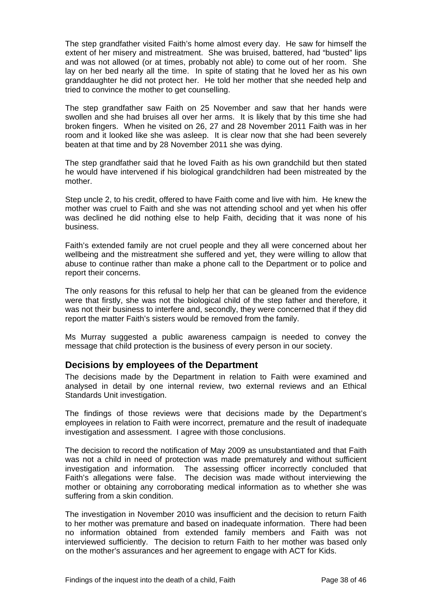The step grandfather visited Faith's home almost every day. He saw for himself the extent of her misery and mistreatment. She was bruised, battered, had "busted" lips and was not allowed (or at times, probably not able) to come out of her room. She lay on her bed nearly all the time. In spite of stating that he loved her as his own granddaughter he did not protect her. He told her mother that she needed help and tried to convince the mother to get counselling.

The step grandfather saw Faith on 25 November and saw that her hands were swollen and she had bruises all over her arms. It is likely that by this time she had broken fingers. When he visited on 26, 27 and 28 November 2011 Faith was in her room and it looked like she was asleep. It is clear now that she had been severely beaten at that time and by 28 November 2011 she was dying.

The step grandfather said that he loved Faith as his own grandchild but then stated he would have intervened if his biological grandchildren had been mistreated by the mother.

Step uncle 2, to his credit, offered to have Faith come and live with him. He knew the mother was cruel to Faith and she was not attending school and yet when his offer was declined he did nothing else to help Faith, deciding that it was none of his business.

Faith's extended family are not cruel people and they all were concerned about her wellbeing and the mistreatment she suffered and yet, they were willing to allow that abuse to continue rather than make a phone call to the Department or to police and report their concerns.

The only reasons for this refusal to help her that can be gleaned from the evidence were that firstly, she was not the biological child of the step father and therefore, it was not their business to interfere and, secondly, they were concerned that if they did report the matter Faith's sisters would be removed from the family.

Ms Murray suggested a public awareness campaign is needed to convey the message that child protection is the business of every person in our society.

#### <span id="page-38-0"></span>**Decisions by employees of the Department**

The decisions made by the Department in relation to Faith were examined and analysed in detail by one internal review, two external reviews and an Ethical Standards Unit investigation.

The findings of those reviews were that decisions made by the Department's employees in relation to Faith were incorrect, premature and the result of inadequate investigation and assessment. I agree with those conclusions.

The decision to record the notification of May 2009 as unsubstantiated and that Faith was not a child in need of protection was made prematurely and without sufficient investigation and information. The assessing officer incorrectly concluded that Faith's allegations were false. The decision was made without interviewing the mother or obtaining any corroborating medical information as to whether she was suffering from a skin condition.

The investigation in November 2010 was insufficient and the decision to return Faith to her mother was premature and based on inadequate information. There had been no information obtained from extended family members and Faith was not interviewed sufficiently. The decision to return Faith to her mother was based only on the mother's assurances and her agreement to engage with ACT for Kids.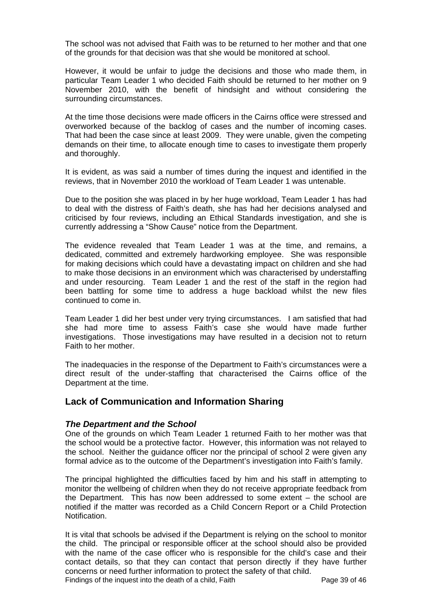The school was not advised that Faith was to be returned to her mother and that one of the grounds for that decision was that she would be monitored at school.

However, it would be unfair to judge the decisions and those who made them, in particular Team Leader 1 who decided Faith should be returned to her mother on 9 November 2010, with the benefit of hindsight and without considering the surrounding circumstances.

At the time those decisions were made officers in the Cairns office were stressed and overworked because of the backlog of cases and the number of incoming cases. That had been the case since at least 2009. They were unable, given the competing demands on their time, to allocate enough time to cases to investigate them properly and thoroughly.

It is evident, as was said a number of times during the inquest and identified in the reviews, that in November 2010 the workload of Team Leader 1 was untenable.

Due to the position she was placed in by her huge workload, Team Leader 1 has had to deal with the distress of Faith's death, she has had her decisions analysed and criticised by four reviews, including an Ethical Standards investigation, and she is currently addressing a "Show Cause" notice from the Department.

The evidence revealed that Team Leader 1 was at the time, and remains, a dedicated, committed and extremely hardworking employee. She was responsible for making decisions which could have a devastating impact on children and she had to make those decisions in an environment which was characterised by understaffing and under resourcing. Team Leader 1 and the rest of the staff in the region had been battling for some time to address a huge backload whilst the new files continued to come in.

Team Leader 1 did her best under very trying circumstances. I am satisfied that had she had more time to assess Faith's case she would have made further investigations. Those investigations may have resulted in a decision not to return Faith to her mother.

The inadequacies in the response of the Department to Faith's circumstances were a direct result of the under-staffing that characterised the Cairns office of the Department at the time.

#### <span id="page-39-0"></span>**Lack of Communication and Information Sharing**

#### *The Department and the School*

One of the grounds on which Team Leader 1 returned Faith to her mother was that the school would be a protective factor. However, this information was not relayed to the school. Neither the guidance officer nor the principal of school 2 were given any formal advice as to the outcome of the Department's investigation into Faith's family.

The principal highlighted the difficulties faced by him and his staff in attempting to monitor the wellbeing of children when they do not receive appropriate feedback from the Department. This has now been addressed to some extent – the school are notified if the matter was recorded as a Child Concern Report or a Child Protection Notification.

Findings of the inquest into the death of a child, Faith Page 39 of 46 It is vital that schools be advised if the Department is relying on the school to monitor the child. The principal or responsible officer at the school should also be provided with the name of the case officer who is responsible for the child's case and their contact details, so that they can contact that person directly if they have further concerns or need further information to protect the safety of that child.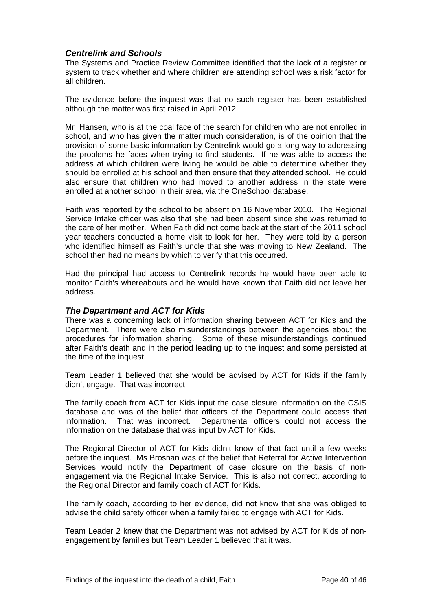#### *Centrelink and Schools*

The Systems and Practice Review Committee identified that the lack of a register or system to track whether and where children are attending school was a risk factor for all children.

The evidence before the inquest was that no such register has been established although the matter was first raised in April 2012.

Mr Hansen, who is at the coal face of the search for children who are not enrolled in school, and who has given the matter much consideration, is of the opinion that the provision of some basic information by Centrelink would go a long way to addressing the problems he faces when trying to find students. If he was able to access the address at which children were living he would be able to determine whether they should be enrolled at his school and then ensure that they attended school. He could also ensure that children who had moved to another address in the state were enrolled at another school in their area, via the OneSchool database.

Faith was reported by the school to be absent on 16 November 2010. The Regional Service Intake officer was also that she had been absent since she was returned to the care of her mother. When Faith did not come back at the start of the 2011 school year teachers conducted a home visit to look for her. They were told by a person who identified himself as Faith's uncle that she was moving to New Zealand. The school then had no means by which to verify that this occurred.

Had the principal had access to Centrelink records he would have been able to monitor Faith's whereabouts and he would have known that Faith did not leave her address.

#### *The Department and ACT for Kids*

There was a concerning lack of information sharing between ACT for Kids and the Department. There were also misunderstandings between the agencies about the procedures for information sharing. Some of these misunderstandings continued after Faith's death and in the period leading up to the inquest and some persisted at the time of the inquest.

Team Leader 1 believed that she would be advised by ACT for Kids if the family didn't engage. That was incorrect.

The family coach from ACT for Kids input the case closure information on the CSIS database and was of the belief that officers of the Department could access that information. That was incorrect. Departmental officers could not access the information on the database that was input by ACT for Kids.

The Regional Director of ACT for Kids didn't know of that fact until a few weeks before the inquest. Ms Brosnan was of the belief that Referral for Active Intervention Services would notify the Department of case closure on the basis of nonengagement via the Regional Intake Service. This is also not correct, according to the Regional Director and family coach of ACT for Kids.

The family coach, according to her evidence, did not know that she was obliged to advise the child safety officer when a family failed to engage with ACT for Kids.

Team Leader 2 knew that the Department was not advised by ACT for Kids of nonengagement by families but Team Leader 1 believed that it was.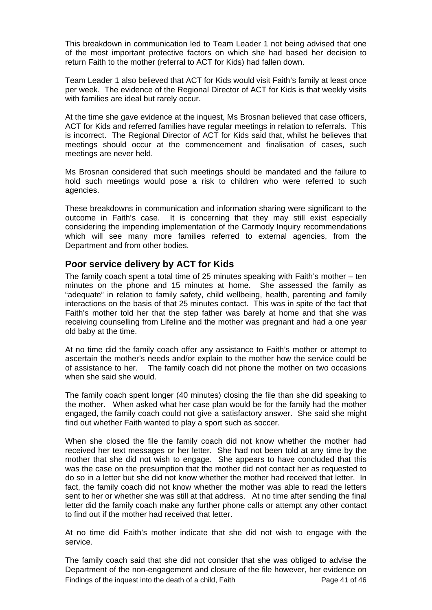This breakdown in communication led to Team Leader 1 not being advised that one of the most important protective factors on which she had based her decision to return Faith to the mother (referral to ACT for Kids) had fallen down.

Team Leader 1 also believed that ACT for Kids would visit Faith's family at least once per week. The evidence of the Regional Director of ACT for Kids is that weekly visits with families are ideal but rarely occur.

At the time she gave evidence at the inquest, Ms Brosnan believed that case officers, ACT for Kids and referred families have regular meetings in relation to referrals. This is incorrect. The Regional Director of ACT for Kids said that, whilst he believes that meetings should occur at the commencement and finalisation of cases, such meetings are never held.

Ms Brosnan considered that such meetings should be mandated and the failure to hold such meetings would pose a risk to children who were referred to such agencies.

These breakdowns in communication and information sharing were significant to the outcome in Faith's case. It is concerning that they may still exist especially considering the impending implementation of the Carmody Inquiry recommendations which will see many more families referred to external agencies, from the Department and from other bodies.

### <span id="page-41-0"></span>**Poor service delivery by ACT for Kids**

The family coach spent a total time of 25 minutes speaking with Faith's mother – ten minutes on the phone and 15 minutes at home. She assessed the family as "adequate" in relation to family safety, child wellbeing, health, parenting and family interactions on the basis of that 25 minutes contact. This was in spite of the fact that Faith's mother told her that the step father was barely at home and that she was receiving counselling from Lifeline and the mother was pregnant and had a one year old baby at the time.

At no time did the family coach offer any assistance to Faith's mother or attempt to ascertain the mother's needs and/or explain to the mother how the service could be of assistance to her. The family coach did not phone the mother on two occasions when she said she would.

The family coach spent longer (40 minutes) closing the file than she did speaking to the mother. When asked what her case plan would be for the family had the mother engaged, the family coach could not give a satisfactory answer. She said she might find out whether Faith wanted to play a sport such as soccer.

When she closed the file the family coach did not know whether the mother had received her text messages or her letter. She had not been told at any time by the mother that she did not wish to engage. She appears to have concluded that this was the case on the presumption that the mother did not contact her as requested to do so in a letter but she did not know whether the mother had received that letter. In fact, the family coach did not know whether the mother was able to read the letters sent to her or whether she was still at that address. At no time after sending the final letter did the family coach make any further phone calls or attempt any other contact to find out if the mother had received that letter.

At no time did Faith's mother indicate that she did not wish to engage with the service.

Findings of the inquest into the death of a child, Faith Page 41 of 46 The family coach said that she did not consider that she was obliged to advise the Department of the non-engagement and closure of the file however, her evidence on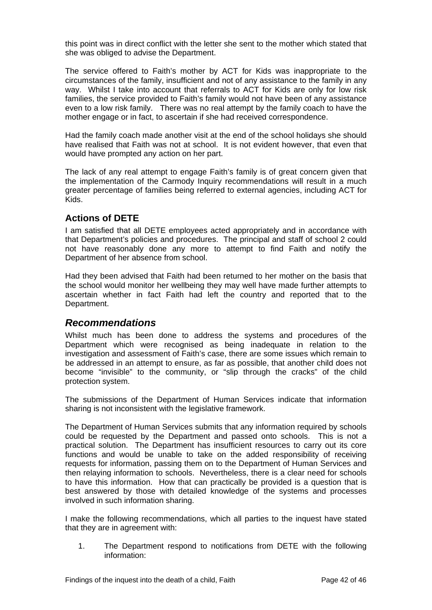this point was in direct conflict with the letter she sent to the mother which stated that she was obliged to advise the Department.

The service offered to Faith's mother by ACT for Kids was inappropriate to the circumstances of the family, insufficient and not of any assistance to the family in any way. Whilst I take into account that referrals to ACT for Kids are only for low risk families, the service provided to Faith's family would not have been of any assistance even to a low risk family. There was no real attempt by the family coach to have the mother engage or in fact, to ascertain if she had received correspondence.

Had the family coach made another visit at the end of the school holidays she should have realised that Faith was not at school. It is not evident however, that even that would have prompted any action on her part.

The lack of any real attempt to engage Faith's family is of great concern given that the implementation of the Carmody Inquiry recommendations will result in a much greater percentage of families being referred to external agencies, including ACT for Kids.

#### <span id="page-42-0"></span>**Actions of DETE**

I am satisfied that all DETE employees acted appropriately and in accordance with that Department's policies and procedures. The principal and staff of school 2 could not have reasonably done any more to attempt to find Faith and notify the Department of her absence from school.

Had they been advised that Faith had been returned to her mother on the basis that the school would monitor her wellbeing they may well have made further attempts to ascertain whether in fact Faith had left the country and reported that to the Department.

### <span id="page-42-1"></span>*Recommendations*

Whilst much has been done to address the systems and procedures of the Department which were recognised as being inadequate in relation to the investigation and assessment of Faith's case, there are some issues which remain to be addressed in an attempt to ensure, as far as possible, that another child does not become "invisible" to the community, or "slip through the cracks" of the child protection system.

The submissions of the Department of Human Services indicate that information sharing is not inconsistent with the legislative framework.

The Department of Human Services submits that any information required by schools could be requested by the Department and passed onto schools. This is not a practical solution. The Department has insufficient resources to carry out its core functions and would be unable to take on the added responsibility of receiving requests for information, passing them on to the Department of Human Services and then relaying information to schools. Nevertheless, there is a clear need for schools to have this information. How that can practically be provided is a question that is best answered by those with detailed knowledge of the systems and processes involved in such information sharing.

I make the following recommendations, which all parties to the inquest have stated that they are in agreement with:

1. The Department respond to notifications from DETE with the following information: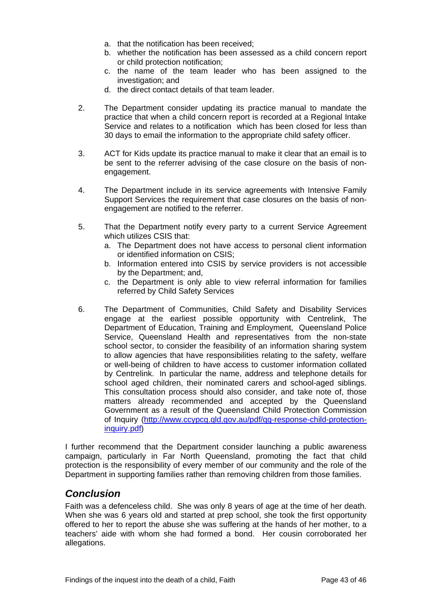- a. that the notification has been received;
- b. whether the notification has been assessed as a child concern report or child protection notification;
- c. the name of the team leader who has been assigned to the investigation; and
- d. the direct contact details of that team leader.
- 2. The Department consider updating its practice manual to mandate the practice that when a child concern report is recorded at a Regional Intake Service and relates to a notification which has been closed for less than 30 days to email the information to the appropriate child safety officer.
- 3. ACT for Kids update its practice manual to make it clear that an email is to be sent to the referrer advising of the case closure on the basis of nonengagement.
- 4. The Department include in its service agreements with Intensive Family Support Services the requirement that case closures on the basis of nonengagement are notified to the referrer.
- 5. That the Department notify every party to a current Service Agreement which utilizes CSIS that:
	- a. The Department does not have access to personal client information or identified information on CSIS;
	- b. Information entered into CSIS by service providers is not accessible by the Department; and,
	- c. the Department is only able to view referral information for families referred by Child Safety Services
- 6. The Department of Communities, Child Safety and Disability Services engage at the earliest possible opportunity with Centrelink, The Department of Education, Training and Employment, Queensland Police Service, Queensland Health and representatives from the non-state school sector, to consider the feasibility of an information sharing system to allow agencies that have responsibilities relating to the safety, welfare or well-being of children to have access to customer information collated by Centrelink. In particular the name, address and telephone details for school aged children, their nominated carers and school-aged siblings. This consultation process should also consider, and take note of, those matters already recommended and accepted by the Queensland Government as a result of the Queensland Child Protection Commission of Inquiry [\(http://www.ccypcg.qld.gov.au/pdf/qg-response-child-protection](http://www.ccypcg.qld.gov.au/pdf/qg-response-child-protection-inquiry.pdf)[inquiry.pdf\)](http://www.ccypcg.qld.gov.au/pdf/qg-response-child-protection-inquiry.pdf)

I further recommend that the Department consider launching a public awareness campaign, particularly in Far North Queensland, promoting the fact that child protection is the responsibility of every member of our community and the role of the Department in supporting families rather than removing children from those families.

# <span id="page-43-0"></span>*Conclusion*

Faith was a defenceless child. She was only 8 years of age at the time of her death. When she was 6 years old and started at prep school, she took the first opportunity offered to her to report the abuse she was suffering at the hands of her mother, to a teachers' aide with whom she had formed a bond. Her cousin corroborated her allegations.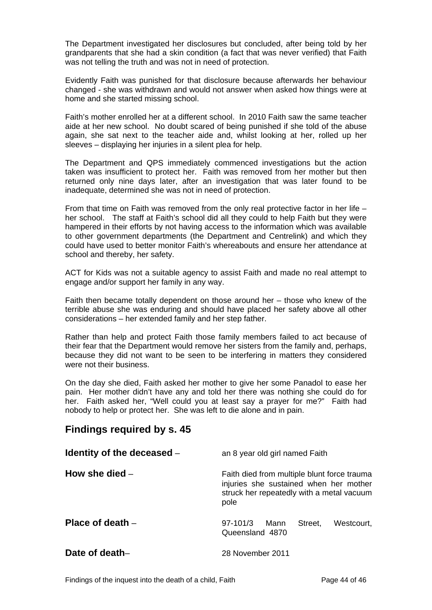The Department investigated her disclosures but concluded, after being told by her grandparents that she had a skin condition (a fact that was never verified) that Faith was not telling the truth and was not in need of protection.

Evidently Faith was punished for that disclosure because afterwards her behaviour changed - she was withdrawn and would not answer when asked how things were at home and she started missing school.

Faith's mother enrolled her at a different school. In 2010 Faith saw the same teacher aide at her new school. No doubt scared of being punished if she told of the abuse again, she sat next to the teacher aide and, whilst looking at her, rolled up her sleeves – displaying her injuries in a silent plea for help.

The Department and QPS immediately commenced investigations but the action taken was insufficient to protect her. Faith was removed from her mother but then returned only nine days later, after an investigation that was later found to be inadequate, determined she was not in need of protection.

From that time on Faith was removed from the only real protective factor in her life – her school. The staff at Faith's school did all they could to help Faith but they were hampered in their efforts by not having access to the information which was available to other government departments (the Department and Centrelink) and which they could have used to better monitor Faith's whereabouts and ensure her attendance at school and thereby, her safety.

ACT for Kids was not a suitable agency to assist Faith and made no real attempt to engage and/or support her family in any way.

Faith then became totally dependent on those around her – those who knew of the terrible abuse she was enduring and should have placed her safety above all other considerations – her extended family and her step father.

Rather than help and protect Faith those family members failed to act because of their fear that the Department would remove her sisters from the family and, perhaps, because they did not want to be seen to be interfering in matters they considered were not their business.

On the day she died, Faith asked her mother to give her some Panadol to ease her pain. Her mother didn't have any and told her there was nothing she could do for her. Faith asked her, "Well could you at least say a prayer for me?" Faith had nobody to help or protect her. She was left to die alone and in pain.

# <span id="page-44-0"></span>**Findings required by s. 45**

<span id="page-44-4"></span><span id="page-44-3"></span><span id="page-44-2"></span><span id="page-44-1"></span>

| Identity of the deceased - | an 8 year old girl named Faith                                                                                                             |
|----------------------------|--------------------------------------------------------------------------------------------------------------------------------------------|
| How she died $-$           | Faith died from multiple blunt force trauma<br>injuries she sustained when her mother<br>struck her repeatedly with a metal vacuum<br>pole |
| Place of death $-$         | $97-101/3$<br>Street.<br>Westcourt,<br>Mann<br>Queensland 4870                                                                             |
| Date of death-             | 28 November 2011                                                                                                                           |